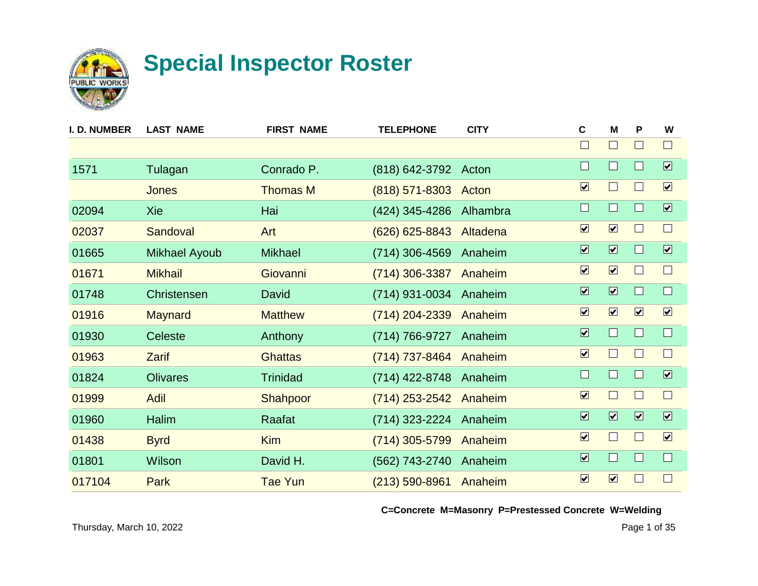

| I. D. NUMBER | <b>LAST NAME</b>     | <b>FIRST NAME</b> | <b>TELEPHONE</b>     | <b>CITY</b> | $\mathbf c$             | M                            | P                       | W                            |
|--------------|----------------------|-------------------|----------------------|-------------|-------------------------|------------------------------|-------------------------|------------------------------|
|              |                      |                   |                      |             |                         | $\Box$                       |                         | $\Box$                       |
| 1571         | Tulagan              | Conrado P.        | (818) 642-3792 Acton |             | $\Box$                  | $\Box$                       |                         | $\overline{\mathbf{v}}$      |
|              | Jones                | <b>Thomas M</b>   | $(818) 571 - 8303$   | Acton       | $\overline{\mathbf{v}}$ | $\Box$                       |                         | $\boxed{\blacktriangledown}$ |
| 02094        | Xie                  | Hai               | (424) 345-4286       | Alhambra    | $\Box$                  | $\Box$                       |                         | $\boxed{\mathbf{v}}$         |
| 02037        | Sandoval             | Art               | $(626)$ 625-8843     | Altadena    | $\boxed{\checkmark}$    | $\boxed{\mathbf{v}}$         |                         | $\Box$                       |
| 01665        | <b>Mikhael Ayoub</b> | <b>Mikhael</b>    | (714) 306-4569       | Anaheim     | $\overline{\mathbf{v}}$ | $\overline{\mathbf{v}}$      |                         | $\overline{\mathbf{v}}$      |
| 01671        | <b>Mikhail</b>       | Giovanni          | $(714)$ 306-3387     | Anaheim     | $\overline{\mathbf{v}}$ | $\boxed{\mathbf{v}}$         |                         | $\Box$                       |
| 01748        | <b>Christensen</b>   | David             | (714) 931-0034       | Anaheim     | $\overline{\mathbf{v}}$ | $\overline{\mathbf{v}}$      | H                       | $\Box$                       |
| 01916        | <b>Maynard</b>       | <b>Matthew</b>    | (714) 204-2339       | Anaheim     | $\overline{\mathbf{v}}$ | $\boxed{\mathbf{v}}$         | $\boxed{\mathbf{v}}$    | $\boxed{\checkmark}$         |
| 01930        | <b>Celeste</b>       | Anthony           | (714) 766-9727       | Anaheim     | $\overline{\mathbf{v}}$ | $\Box$                       |                         | $\Box$                       |
| 01963        | <b>Zarif</b>         | <b>Ghattas</b>    | (714) 737-8464       | Anaheim     | $\overline{\mathbf{v}}$ | $\Box$                       |                         | $\Box$                       |
| 01824        | <b>Olivares</b>      | <b>Trinidad</b>   | (714) 422-8748       | Anaheim     | $\Box$                  | $\Box$                       |                         | $\overline{\mathbf{v}}$      |
| 01999        | <b>Adil</b>          | Shahpoor          | (714) 253-2542       | Anaheim     | $\overline{\mathbf{v}}$ | $\Box$                       | $\mathbf{I}$            | $\Box$                       |
| 01960        | Halim                | Raafat            | (714) 323-2224       | Anaheim     | $\overline{\mathbf{v}}$ | $\boxed{\blacktriangledown}$ | $\overline{\mathbf{v}}$ | $\boxed{\blacktriangledown}$ |
| 01438        | <b>Byrd</b>          | <b>Kim</b>        | (714) 305-5799       | Anaheim     | $\overline{\mathbf{v}}$ | $\Box$                       |                         | $\boxed{\mathbf{v}}$         |
| 01801        | Wilson               | David H.          | (562) 743-2740       | Anaheim     | $\overline{\mathbf{v}}$ | $\Box$                       |                         | $\Box$                       |
| 017104       | Park                 | <b>Tae Yun</b>    | $(213) 590 - 8961$   | Anaheim     | $\overline{\mathbf{v}}$ | $\boxed{\mathbf{v}}$         |                         | $\Box$                       |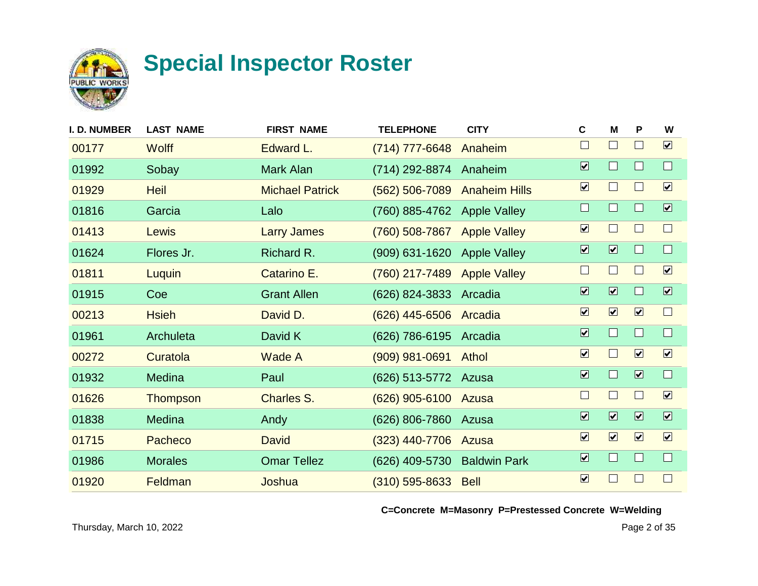

| <b>I. D. NUMBER</b> | <b>LAST NAME</b> | <b>FIRST NAME</b>      | <b>TELEPHONE</b>            | <b>CITY</b>          | C                       | M                        | P                       | W                       |
|---------------------|------------------|------------------------|-----------------------------|----------------------|-------------------------|--------------------------|-------------------------|-------------------------|
| 00177               | <b>Wolff</b>     | Edward L.              | (714) 777-6648              | Anaheim              | $\Box$                  | $\Box$                   |                         | $\boxed{\mathbf{v}}$    |
| 01992               | Sobay            | Mark Alan              | (714) 292-8874              | Anaheim              | $\overline{\mathbf{v}}$ | $\Box$                   |                         | $\Box$                  |
| 01929               | <b>Heil</b>      | <b>Michael Patrick</b> | $(562) 506 - 7089$          | <b>Anaheim Hills</b> | $\boxed{\checkmark}$    | $\Box$                   | L                       | $\boxed{\mathbf{v}}$    |
| 01816               | Garcia           | Lalo                   | (760) 885-4762 Apple Valley |                      | $\Box$                  | $\Box$                   |                         | $\overline{\mathbf{v}}$ |
| 01413               | Lewis            | <b>Larry James</b>     | (760) 508-7867              | <b>Apple Valley</b>  | $\overline{\mathbf{v}}$ | $\overline{\phantom{a}}$ |                         | $\Box$                  |
| 01624               | Flores Jr.       | Richard R.             | $(909)$ 631-1620            | <b>Apple Valley</b>  | $\overline{\mathbf{v}}$ | $\overline{\mathbf{v}}$  |                         | $\Box$                  |
| 01811               | Luquin           | Catarino E.            | (760) 217-7489              | <b>Apple Valley</b>  | $\Box$                  | $\Box$                   |                         | $\boxed{\checkmark}$    |
| 01915               | Coe              | <b>Grant Allen</b>     | (626) 824-3833              | Arcadia              | $\overline{\mathbf{v}}$ | $\overline{\mathbf{v}}$  |                         | $\boxed{\mathbf{v}}$    |
| 00213               | <b>Hsieh</b>     | David D.               | (626) 445-6506 Arcadia      |                      | $\overline{\mathbf{v}}$ | $\boxed{\mathbf{v}}$     | $\boxed{\mathbf{v}}$    | $\Box$                  |
| 01961               | Archuleta        | David K                | (626) 786-6195              | Arcadia              | $\overline{\mathbf{v}}$ | $\Box$                   | ш                       | $\Box$                  |
| 00272               | Curatola         | Wade A                 | $(909)$ 981-0691            | <b>Athol</b>         | $\boxed{\checkmark}$    | $\Box$                   | $\boxed{\mathbf{v}}$    | $\boxed{\mathbf{v}}$    |
| 01932               | Medina           | Paul                   | (626) 513-5772 Azusa        |                      | $\overline{\mathbf{v}}$ | $\Box$                   | $\overline{\mathbf{v}}$ | $\Box$                  |
| 01626               | Thompson         | <b>Charles S.</b>      | (626) 905-6100 Azusa        |                      | $\Box$                  | $\Box$                   |                         | $\boxed{\mathbf{v}}$    |
| 01838               | Medina           | Andy                   | (626) 806-7860              | Azusa                | $\overline{\mathbf{v}}$ | $\overline{\mathbf{v}}$  | $\overline{\mathbf{v}}$ | $\overline{\mathbf{v}}$ |
| 01715               | Pacheco          | <b>David</b>           | $(323)$ 440-7706            | Azusa                | $\overline{\mathbf{v}}$ | $\boxed{\mathbf{v}}$     | $\boxed{\mathbf{v}}$    | $\boxed{\mathbf{v}}$    |
| 01986               | <b>Morales</b>   | <b>Omar Tellez</b>     | (626) 409-5730              | <b>Baldwin Park</b>  | $\overline{\mathbf{v}}$ | $\Box$                   |                         | $\Box$                  |
| 01920               | Feldman          | Joshua                 | (310) 595-8633 Bell         |                      | $\overline{\mathbf{v}}$ |                          |                         | $\Box$                  |
|                     |                  |                        |                             |                      |                         |                          |                         |                         |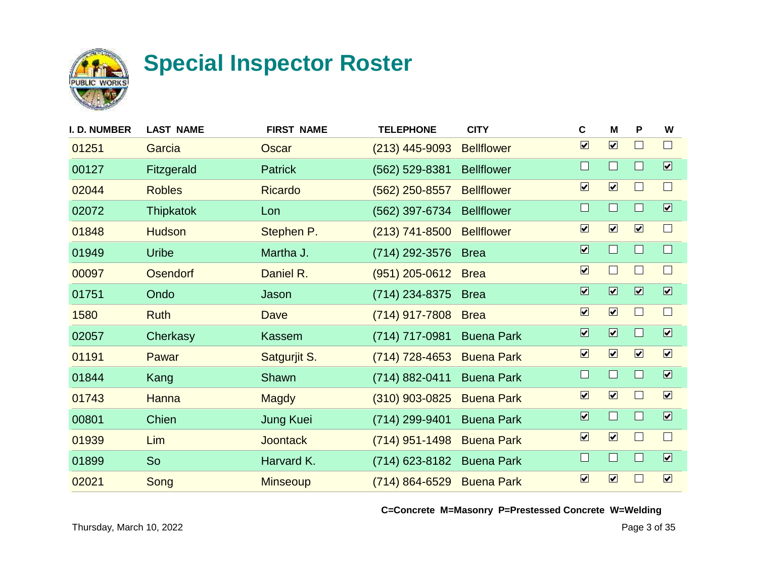

| I. D. NUMBER | <b>LAST NAME</b> | <b>FIRST NAME</b> | <b>TELEPHONE</b>   | <b>CITY</b>       | $\mathbf c$                  | M                            | P                       | W                            |
|--------------|------------------|-------------------|--------------------|-------------------|------------------------------|------------------------------|-------------------------|------------------------------|
| 01251        | Garcia           | Oscar             | $(213)$ 445-9093   | <b>Bellflower</b> | $\overline{\mathbf{v}}$      | $\boxed{\mathbf{v}}$         |                         | $\Box$                       |
| 00127        | Fitzgerald       | Patrick           | (562) 529-8381     | <b>Bellflower</b> | $\Box$                       | $\Box$                       | H                       | $\boxed{\mathbf{v}}$         |
| 02044        | <b>Robles</b>    | <b>Ricardo</b>    | $(562)$ 250-8557   | <b>Bellflower</b> | $\boxed{\blacktriangledown}$ | $\boxed{\mathbf{v}}$         |                         | $\Box$                       |
| 02072        | <b>Thipkatok</b> | Lon               | (562) 397-6734     | <b>Bellflower</b> | $\Box$                       | $\Box$                       |                         | $\overline{\mathbf{v}}$      |
| 01848        | <b>Hudson</b>    | Stephen P.        | $(213)$ 741-8500   | <b>Bellflower</b> | $\boxed{\blacktriangledown}$ | $\boxed{\mathbf{v}}$         | $\boxed{\mathbf{v}}$    | $\Box$                       |
| 01949        | <b>Uribe</b>     | Martha J.         | (714) 292-3576     | <b>Brea</b>       | $\overline{\mathbf{v}}$      | $\Box$                       |                         | $\Box$                       |
| 00097        | <b>Osendorf</b>  | Daniel R.         | $(951)$ 205-0612   | <b>Brea</b>       | $\overline{\mathbf{v}}$      | $\Box$                       |                         | $\Box$                       |
| 01751        | Ondo             | Jason             | (714) 234-8375     | <b>Brea</b>       | $\overline{\mathbf{v}}$      | $\overline{\mathbf{v}}$      | $\overline{\mathbf{v}}$ | $\boxed{\blacktriangledown}$ |
| 1580         | <b>Ruth</b>      | Dave              | (714) 917-7808     | <b>Brea</b>       | $\overline{\mathbf{v}}$      | $\boxed{\mathbf{v}}$         |                         | $\Box$                       |
| 02057        | Cherkasy         | Kassem            | (714) 717-0981     | <b>Buena Park</b> | $\overline{\mathbf{v}}$      | $\overline{\mathbf{v}}$      | ш                       | $\boxed{\blacktriangledown}$ |
| 01191        | Pawar            | Satgurjit S.      | $(714)$ 728-4653   | <b>Buena Park</b> | $\boxed{\mathbf{v}}$         | $\boxed{\mathbf{v}}$         | $\boxed{\mathbf{v}}$    | $\boxed{\mathbf{v}}$         |
| 01844        | Kang             | Shawn             | $(714) 882 - 0411$ | <b>Buena Park</b> | $\Box$                       | $\Box$                       |                         | $\overline{\mathbf{v}}$      |
| 01743        | <b>Hanna</b>     | <b>Magdy</b>      | (310) 903-0825     | <b>Buena Park</b> | $\boxed{\blacktriangledown}$ | $\boxed{\mathbf{v}}$         |                         | $\boxed{\mathbf{v}}$         |
| 00801        | Chien            | <b>Jung Kuei</b>  | (714) 299-9401     | <b>Buena Park</b> | $\overline{\mathbf{v}}$      | $\Box$                       |                         | $\boxed{\mathbf{v}}$         |
| 01939        | Lim              | <b>Joontack</b>   | $(714)$ 951-1498   | <b>Buena Park</b> | $\boxed{\checkmark}$         | $\boxed{\blacktriangledown}$ |                         | $\Box$                       |
| 01899        | So               | Harvard K.        | (714) 623-8182     | <b>Buena Park</b> | $\Box$                       | $\Box$                       |                         | $\boxed{\blacktriangledown}$ |
| 02021        | Song             | <b>Minseoup</b>   | $(714) 864 - 6529$ | <b>Buena Park</b> | $\overline{\mathbf{v}}$      | $\boxed{\mathbf{v}}$         |                         | $\boxed{\mathbf{v}}$         |
|              |                  |                   |                    |                   |                              |                              |                         |                              |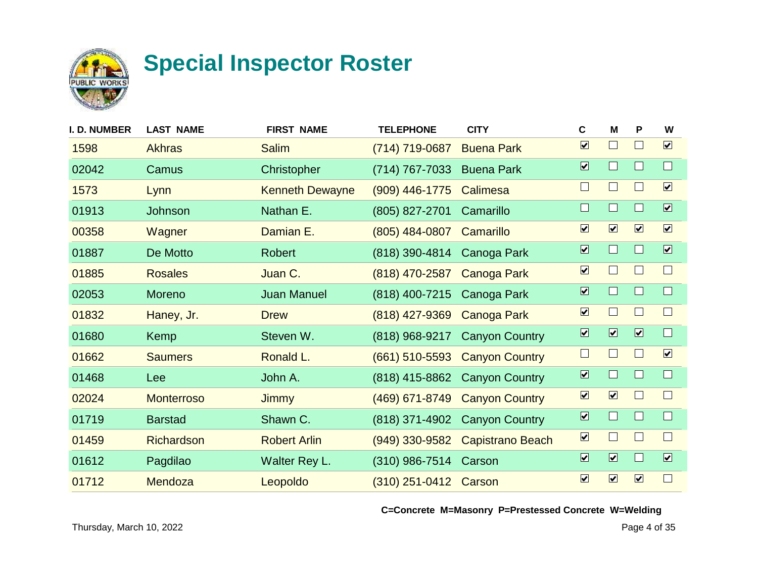

| <b>I. D. NUMBER</b> | <b>LAST NAME</b>  | <b>FIRST NAME</b>      | <b>TELEPHONE</b>      | <b>CITY</b>             | $\mathbf c$                  | M                            | P                            | W                            |
|---------------------|-------------------|------------------------|-----------------------|-------------------------|------------------------------|------------------------------|------------------------------|------------------------------|
| 1598                | <b>Akhras</b>     | <b>Salim</b>           | (714) 719-0687        | <b>Buena Park</b>       | $\boxed{\blacktriangledown}$ | $\Box$                       | $\Box$                       | $\boxed{\blacktriangledown}$ |
| 02042               | Camus             | Christopher            | (714) 767-7033        | <b>Buena Park</b>       | $\overline{\mathbf{v}}$      | $\Box$                       | $\Box$                       | $\Box$                       |
| 1573                | Lynn              | <b>Kenneth Dewayne</b> | $(909)$ 446-1775      | Calimesa                | $\Box$                       | $\Box$                       | $\Box$                       | $\boxed{\mathbf{v}}$         |
| 01913               | Johnson           | Nathan E.              | (805) 827-2701        | Camarillo               | $\Box$                       | $\Box$                       | $\Box$                       | $\overline{\mathbf{v}}$      |
| 00358               | Wagner            | Damian E.              | (805) 484-0807        | Camarillo               | $\boxed{\checkmark}$         | $\boxed{\blacktriangledown}$ | $\boxed{\blacktriangledown}$ | $\boxed{\mathbf{v}}$         |
| 01887               | De Motto          | <b>Robert</b>          | (818) 390-4814        | Canoga Park             | $\overline{\mathbf{v}}$      | $\Box$                       | $\Box$                       | $\overline{\mathbf{v}}$      |
| 01885               | <b>Rosales</b>    | Juan C.                | (818) 470-2587        | <b>Canoga Park</b>      | $\boxed{\checkmark}$         | $\Box$                       | Ш                            | $\Box$                       |
| 02053               | Moreno            | <b>Juan Manuel</b>     | (818) 400-7215        | Canoga Park             | $\overline{\mathbf{v}}$      | $\Box$                       | $\Box$                       | $\Box$                       |
| 01832               | Haney, Jr.        | <b>Drew</b>            | (818) 427-9369        | <b>Canoga Park</b>      | $\boxed{\blacktriangledown}$ | $\Box$                       | Ш                            | $\Box$                       |
| 01680               | Kemp              | Steven W.              | (818) 968-9217        | <b>Canyon Country</b>   | $\overline{\mathbf{v}}$      | $\overline{\mathbf{v}}$      | $\boxed{\blacktriangledown}$ | $\Box$                       |
| 01662               | <b>Saumers</b>    | Ronald L.              | $(661)$ 510-5593      | <b>Canyon Country</b>   | $\Box$                       | $\Box$                       | ш                            | $\boxed{\mathbf{v}}$         |
| 01468               | Lee               | John A.                | (818) 415-8862        | <b>Canyon Country</b>   | $\overline{\mathbf{v}}$      | $\Box$                       | $\Box$                       | $\Box$                       |
| 02024               | <b>Monterroso</b> | <b>Jimmy</b>           | (469) 671-8749        | <b>Canyon Country</b>   | $\boxed{\blacktriangledown}$ | $\boxed{\blacktriangledown}$ |                              | $\Box$                       |
| 01719               | <b>Barstad</b>    | Shawn C.               | (818) 371-4902        | <b>Canyon Country</b>   | $\overline{\mathbf{v}}$      | $\Box$                       | $\Box$                       | $\Box$                       |
| 01459               | <b>Richardson</b> | <b>Robert Arlin</b>    | $(949)$ 330-9582      | <b>Capistrano Beach</b> | $\boxed{\blacktriangledown}$ | $\Box$                       | $\Box$                       | $\Box$                       |
| 01612               | Pagdilao          | Walter Rey L.          | (310) 986-7514        | Carson                  | $\overline{\mathbf{v}}$      | $\overline{\mathbf{v}}$      | $\Box$                       | $\boxed{\blacktriangledown}$ |
| 01712               | Mendoza           | Leopoldo               | (310) 251-0412 Carson |                         | $\boxed{\checkmark}$         | $\boxed{\blacktriangledown}$ | $\boxed{\checkmark}$         |                              |
|                     |                   |                        |                       |                         |                              |                              |                              |                              |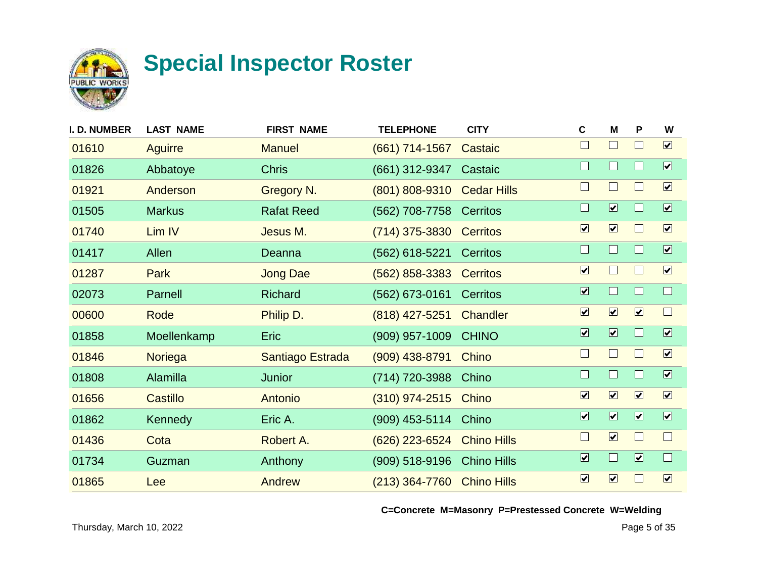

| I. D. NUMBER | <b>LAST NAME</b> | <b>FIRST NAME</b> | <b>TELEPHONE</b>           | <b>CITY</b>        | $\mathbf c$                  | M                            | P                       | W                            |
|--------------|------------------|-------------------|----------------------------|--------------------|------------------------------|------------------------------|-------------------------|------------------------------|
| 01610        | Aguirre          | <b>Manuel</b>     | $(661)$ 714-1567           | Castaic            | $\Box$                       | $\sqcup$                     | $\mathbb{R}^n$          | $\boxed{\mathbf{v}}$         |
| 01826        | Abbatoye         | <b>Chris</b>      | (661) 312-9347             | Castaic            | $\Box$                       | $\Box$                       |                         | $\boxed{\blacktriangledown}$ |
| 01921        | Anderson         | Gregory N.        | (801) 808-9310             | <b>Cedar Hills</b> | $\Box$                       | $\mathbf{I}$                 | I.                      | $\boxed{\mathbf{v}}$         |
| 01505        | <b>Markus</b>    | <b>Rafat Reed</b> | (562) 708-7758 Cerritos    |                    | $\Box$                       | $\overline{\mathbf{v}}$      |                         | $\overline{\mathbf{v}}$      |
| 01740        | Lim IV           | Jesus M.          | $(714)$ 375-3830           | <b>Cerritos</b>    | $\boxed{\blacktriangledown}$ | $\boxed{\blacktriangledown}$ | ш                       | $\boxed{\checkmark}$         |
| 01417        | Allen            | Deanna            | (562) 618-5221             | Cerritos           | $\Box$                       | $\Box$                       |                         | $\overline{\mathbf{v}}$      |
| 01287        | <b>Park</b>      | <b>Jong Dae</b>   | $(562)$ 858-3383           | <b>Cerritos</b>    | $\boxed{\mathbf{v}}$         | $\Box$                       |                         | $\boxed{\checkmark}$         |
| 02073        | Parnell          | Richard           | (562) 673-0161             | Cerritos           | $\overline{\mathbf{v}}$      | $\Box$                       |                         | $\Box$                       |
| 00600        | Rode             | Philip D.         | $(818)$ 427-5251           | Chandler           | $\boxed{\mathbf{v}}$         | $\boxed{\mathbf{v}}$         | $\boxed{\mathbf{v}}$    | $\Box$                       |
| 01858        | Moellenkamp      | <b>Eric</b>       | $(909)$ 957-1009           | <b>CHINO</b>       | $\overline{\mathbf{v}}$      | $\overline{\mathbf{v}}$      | ш                       | $\boxed{\blacktriangledown}$ |
| 01846        | Noriega          | Santiago Estrada  | $(909)$ 438-8791           | Chino              | $\Box$                       | $\blacksquare$               |                         | $\boxed{\mathbf{v}}$         |
| 01808        | Alamilla         | Junior            | (714) 720-3988             | Chino              | $\Box$                       | $\Box$                       |                         | $\overline{\mathbf{v}}$      |
| 01656        | Castillo         | Antonio           | $(310)$ 974-2515           | Chino              | $\overline{\mathbf{v}}$      | $\boxed{\mathbf{v}}$         | $\boxed{\mathbf{v}}$    | $\boxed{\blacktriangledown}$ |
| 01862        | Kennedy          | Eric A.           | (909) 453-5114 Chino       |                    | $\overline{\mathbf{v}}$      | $\overline{\mathbf{v}}$      | $\overline{\mathbf{v}}$ | $\boxed{\blacktriangledown}$ |
| 01436        | Cota             | Robert A.         | (626) 223-6524             | <b>Chino Hills</b> | $\Box$                       | $\boxed{\blacktriangledown}$ |                         | $\Box$                       |
| 01734        | Guzman           | Anthony           | $(909)$ 518-9196           | <b>Chino Hills</b> | $\overline{\mathbf{v}}$      | $\Box$                       | $\overline{\mathbf{v}}$ | $\Box$                       |
| 01865        | Lee              | Andrew            | (213) 364-7760 Chino Hills |                    | $\overline{\mathbf{v}}$      | $\boxed{\mathbf{v}}$         |                         | $\boxed{\checkmark}$         |
|              |                  |                   |                            |                    |                              |                              |                         |                              |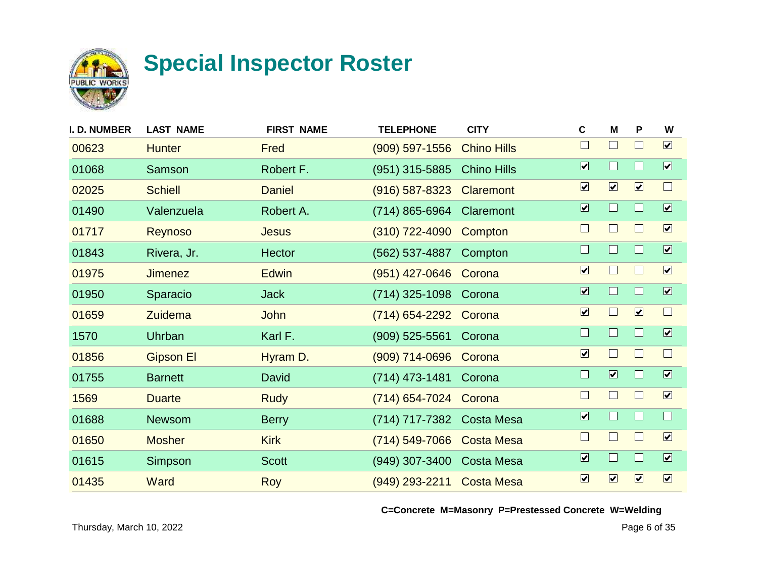

| <b>I. D. NUMBER</b> | <b>LAST NAME</b> | <b>FIRST NAME</b> | <b>TELEPHONE</b>          | <b>CITY</b>        | C                            | M                            | P                    | W                            |
|---------------------|------------------|-------------------|---------------------------|--------------------|------------------------------|------------------------------|----------------------|------------------------------|
| 00623               | <b>Hunter</b>    | Fred              | $(909)$ 597-1556          | <b>Chino Hills</b> | $\Box$                       | $\Box$                       | $\mathbf{L}$         | $\boxed{\mathbf{v}}$         |
| 01068               | Samson           | Robert F.         | (951) 315-5885            | <b>Chino Hills</b> | $\overline{\mathbf{v}}$      | $\Box$                       |                      | $\boxed{\blacktriangledown}$ |
| 02025               | <b>Schiell</b>   | <b>Daniel</b>     | $(916) 587 - 8323$        | Claremont          | $\boxed{\checkmark}$         | $\boxed{\mathbf{v}}$         | $\boxed{\checkmark}$ | $\Box$                       |
| 01490               | Valenzuela       | Robert A.         | (714) 865-6964 Claremont  |                    | $\overline{\mathbf{v}}$      | $\Box$                       |                      | $\overline{\mathbf{v}}$      |
| 01717               | <b>Reynoso</b>   | <b>Jesus</b>      | $(310)$ 722-4090          | Compton            | $\Box$                       | $\Box$                       |                      | $\boxed{\checkmark}$         |
| 01843               | Rivera, Jr.      | <b>Hector</b>     | (562) 537-4887            | Compton            | $\Box$                       | $\Box$                       |                      | $\overline{\mathbf{v}}$      |
| 01975               | <b>Jimenez</b>   | <b>Edwin</b>      | (951) 427-0646            | Corona             | $\boxed{\mathbf{v}}$         | $\Box$                       |                      | $\boxed{\checkmark}$         |
| 01950               | Sparacio         | <b>Jack</b>       | (714) 325-1098            | Corona             | $\overline{\mathbf{v}}$      | $\Box$                       |                      | $\overline{\mathbf{v}}$      |
| 01659               | Zuidema          | <b>John</b>       | (714) 654-2292 Corona     |                    | $\overline{\mathbf{v}}$      | $\Box$                       | $\boxed{\mathbf{v}}$ | $\Box$                       |
| 1570                | Uhrban           | Karl F.           | $(909)$ 525-5561          | Corona             | $\Box$                       | $\Box$                       | H                    | $\boxed{\blacktriangledown}$ |
| 01856               | <b>Gipson El</b> | Hyram D.          | (909) 714-0696 Corona     |                    | $\boxed{\blacktriangledown}$ | $\vert \ \ \vert$            |                      | $\Box$                       |
| 01755               | <b>Barnett</b>   | David             | $(714)$ 473-1481          | Corona             | $\Box$                       | $\overline{\mathbf{z}}$      |                      | $\overline{\mathbf{v}}$      |
| 1569                | <b>Duarte</b>    | <b>Rudy</b>       | (714) 654-7024            | Corona             | $\Box$                       | $\Box$                       |                      | $\boxed{\mathbf{v}}$         |
| 01688               | <b>Newsom</b>    | <b>Berry</b>      | (714) 717-7382            | <b>Costa Mesa</b>  | $\overline{\mathbf{v}}$      | $\Box$                       |                      | $\Box$                       |
| 01650               | <b>Mosher</b>    | <b>Kirk</b>       | (714) 549-7066            | <b>Costa Mesa</b>  | $\Box$                       | $\overline{\phantom{0}}$     |                      | $\boxed{\mathbf{v}}$         |
| 01615               | Simpson          | <b>Scott</b>      | $(949)$ 307-3400          | <b>Costa Mesa</b>  | $\boxed{\blacktriangledown}$ | $\Box$                       |                      | $\boxed{\blacktriangledown}$ |
| 01435               | Ward             | <b>Roy</b>        | (949) 293-2211 Costa Mesa |                    | $\boxed{\checkmark}$         | $\boxed{\blacktriangledown}$ | $\boxed{\mathbf{v}}$ | $\boxed{\mathbf{v}}$         |
|                     |                  |                   |                           |                    |                              |                              |                      |                              |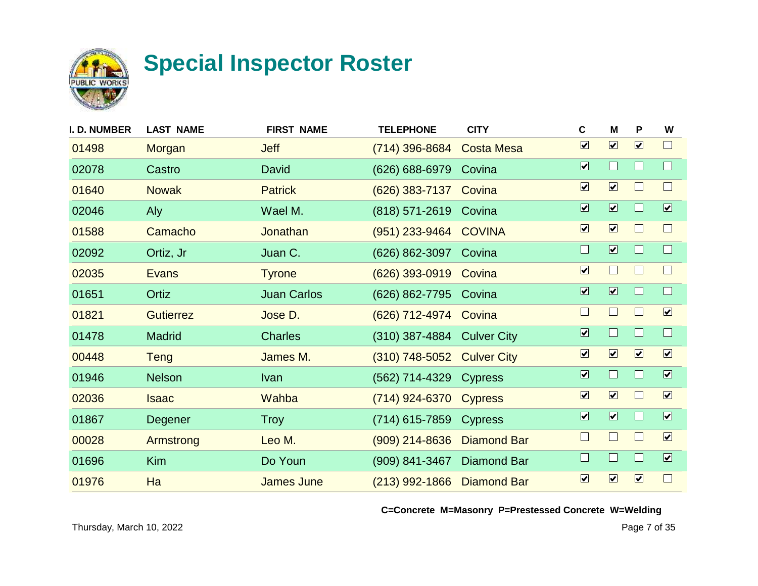

| <b>I. D. NUMBER</b> | <b>LAST NAME</b> | <b>FIRST NAME</b>  | <b>TELEPHONE</b>           | <b>CITY</b>        | C                            | м                            | P                    | W                            |
|---------------------|------------------|--------------------|----------------------------|--------------------|------------------------------|------------------------------|----------------------|------------------------------|
| 01498               | Morgan           | <b>Jeff</b>        | (714) 396-8684             | <b>Costa Mesa</b>  | $\overline{\mathbf{v}}$      | $\boxed{\mathbf{v}}$         | $\boxed{\mathbf{v}}$ | $\Box$                       |
| 02078               | Castro           | David              | (626) 688-6979             | Covina             | $\overline{\mathbf{v}}$      | $\Box$                       |                      | $\Box$                       |
| 01640               | <b>Nowak</b>     | <b>Patrick</b>     | $(626)$ 383-7137           | Covina             | $\boxed{\blacktriangledown}$ | $\boxed{\mathbf{v}}$         | $\mathbf{I}$         | $\Box$                       |
| 02046               | Aly              | Wael M.            | (818) 571-2619 Covina      |                    | $\overline{\mathbf{v}}$      | $\overline{\mathbf{v}}$      |                      | $\overline{\mathbf{v}}$      |
| 01588               | Camacho          | Jonathan           | (951) 233-9464 COVINA      |                    | $\boxed{\blacktriangledown}$ | $\boxed{\blacktriangledown}$ |                      | $\Box$                       |
| 02092               | Ortiz, Jr        | Juan C.            | (626) 862-3097             | Covina             | $\Box$                       | $\overline{\mathbf{v}}$      |                      | $\Box$                       |
| 02035               | <b>Evans</b>     | <b>Tyrone</b>      | $(626)$ 393-0919           | Covina             | $\boxed{\mathbf{v}}$         | $\Box$                       |                      | $\Box$                       |
| 01651               | Ortiz            | <b>Juan Carlos</b> | (626) 862-7795 Covina      |                    | $\overline{\mathbf{v}}$      | $\overline{\mathbf{v}}$      |                      | $\Box$                       |
| 01821               | <b>Gutierrez</b> | Jose D.            | (626) 712-4974 Covina      |                    | $\Box$                       | $\Box$                       |                      | $\boxed{\checkmark}$         |
| 01478               | <b>Madrid</b>    | <b>Charles</b>     | (310) 387-4884 Culver City |                    | $\overline{\mathbf{v}}$      | $\Box$                       | H                    | $\Box$                       |
| 00448               | <b>Teng</b>      | James M.           | (310) 748-5052 Culver City |                    | $\overline{\mathbf{v}}$      | $\boxed{\mathbf{v}}$         | $\boxed{\mathbf{v}}$ | $\boxed{\mathbf{v}}$         |
| 01946               | <b>Nelson</b>    | <b>Ivan</b>        | (562) 714-4329             | <b>Cypress</b>     | $\overline{\mathbf{v}}$      | $\Box$                       |                      | $\overline{\mathbf{v}}$      |
| 02036               | <b>Isaac</b>     | Wahba              | (714) 924-6370             | <b>Cypress</b>     | $\overline{\mathbf{v}}$      | $\boxed{\mathbf{v}}$         |                      | $\boxed{\mathbf{v}}$         |
| 01867               | Degener          | Troy               | (714) 615-7859             | <b>Cypress</b>     | $\overline{\mathbf{v}}$      | $\overline{\mathbf{v}}$      |                      | $\overline{\mathbf{v}}$      |
| 00028               | Armstrong        | Leo M.             | $(909)$ 214-8636           | <b>Diamond Bar</b> | $\Box$                       | $\Box$                       |                      | $\boxed{\mathbf{v}}$         |
| 01696               | <b>Kim</b>       | Do Youn            | (909) 841-3467             | <b>Diamond Bar</b> | $\Box$                       | $\Box$                       |                      | $\boxed{\blacktriangledown}$ |
| 01976               | Ha               | <b>James June</b>  | $(213)$ 992-1866           | <b>Diamond Bar</b> | $\overline{\mathbf{v}}$      | $\boxed{\mathbf{v}}$         | $\boxed{\checkmark}$ | $\Box$                       |
|                     |                  |                    |                            |                    |                              |                              |                      |                              |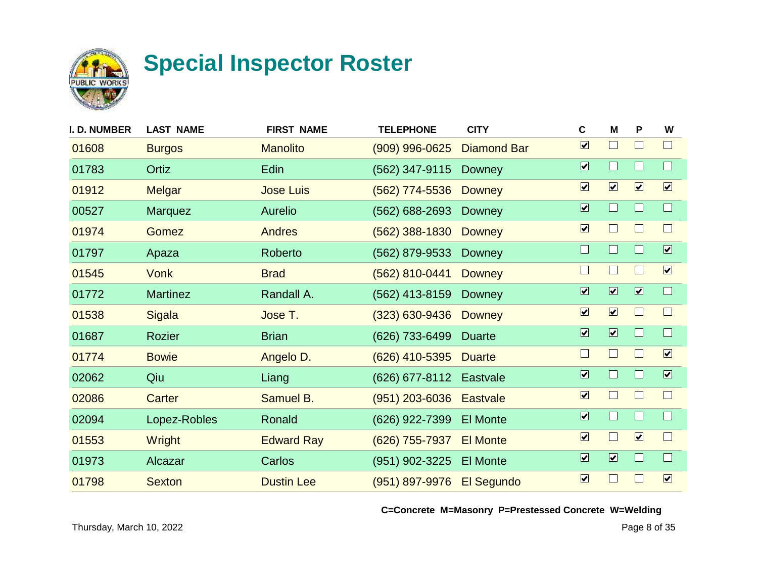

| <b>I. D. NUMBER</b> | <b>LAST NAME</b> | <b>FIRST NAME</b> | <b>TELEPHONE</b>   | <b>CITY</b>        | C                            | M                       | P                            | W                       |
|---------------------|------------------|-------------------|--------------------|--------------------|------------------------------|-------------------------|------------------------------|-------------------------|
| 01608               | <b>Burgos</b>    | <b>Manolito</b>   | $(909)$ 996-0625   | <b>Diamond Bar</b> | $\overline{\mathbf{v}}$      | $\Box$                  |                              | $\Box$                  |
| 01783               | Ortiz            | Edin              | (562) 347-9115     | Downey             | $\overline{\mathbf{v}}$      | $\Box$                  |                              | $\Box$                  |
| 01912               | Melgar           | <b>Jose Luis</b>  | (562) 774-5536     | <b>Downey</b>      | $\boxed{\checkmark}$         | $\boxed{\mathbf{v}}$    | $\boxed{\blacktriangledown}$ | $\boxed{\mathbf{v}}$    |
| 00527               | <b>Marquez</b>   | <b>Aurelio</b>    | (562) 688-2693     | Downey             | $\overline{\mathbf{v}}$      | $\Box$                  |                              | $\Box$                  |
| 01974               | <b>Gomez</b>     | <b>Andres</b>     | $(562)$ 388-1830   | <b>Downey</b>      | $\boxed{\blacktriangledown}$ | $\Box$                  |                              | $\Box$                  |
| 01797               | Apaza            | Roberto           | (562) 879-9533     | Downey             | $\Box$                       | $\Box$                  |                              | $\overline{\mathbf{v}}$ |
| 01545               | <b>Vonk</b>      | <b>Brad</b>       | (562) 810-0441     | <b>Downey</b>      | $\Box$                       | $\Box$                  |                              | $\boxed{\mathbf{v}}$    |
| 01772               | <b>Martinez</b>  | Randall A.        | (562) 413-8159     | <b>Downey</b>      | $\overline{\mathbf{v}}$      | $\overline{\mathbf{v}}$ | $\overline{\mathbf{v}}$      | $\Box$                  |
| 01538               | <b>Sigala</b>    | Jose T.           | $(323) 630 - 9436$ | <b>Downey</b>      | $\overline{\mathbf{v}}$      | $\boxed{\mathbf{v}}$    |                              | $\Box$                  |
| 01687               | Rozier           | <b>Brian</b>      | (626) 733-6499     | <b>Duarte</b>      | $\overline{\mathbf{v}}$      | $\overline{\mathbf{v}}$ | ш                            | $\Box$                  |
| 01774               | <b>Bowie</b>     | Angelo D.         | (626) 410-5395     | <b>Duarte</b>      | $\Box$                       | $\Box$                  |                              | $\boxed{\mathbf{v}}$    |
| 02062               | Qiu              | Liang             | (626) 677-8112     | Eastvale           | $\overline{\mathbf{v}}$      | $\Box$                  |                              | $\overline{\mathbf{v}}$ |
| 02086               | Carter           | Samuel B.         | $(951)$ 203-6036   | <b>Eastvale</b>    | $\overline{\mathbf{v}}$      | $\Box$                  |                              | $\Box$                  |
| 02094               | Lopez-Robles     | Ronald            | (626) 922-7399     | <b>El Monte</b>    | $\overline{\mathbf{v}}$      | $\Box$                  |                              | $\Box$                  |
| 01553               | Wright           | <b>Edward Ray</b> | (626) 755-7937     | <b>El Monte</b>    | $\boxed{\blacktriangledown}$ | $\Box$                  | $\boxed{\mathbf{v}}$         | $\Box$                  |
| 01973               | Alcazar          | Carlos            | (951) 902-3225     | <b>El Monte</b>    | $\overline{\mathbf{v}}$      | $\overline{\mathbf{v}}$ |                              | $\Box$                  |
| 01798               | <b>Sexton</b>    | <b>Dustin Lee</b> | (951) 897-9976     | <b>El Segundo</b>  | $\overline{\mathbf{v}}$      | $\Box$                  |                              | $\boxed{\mathbf{v}}$    |
|                     |                  |                   |                    |                    |                              |                         |                              |                         |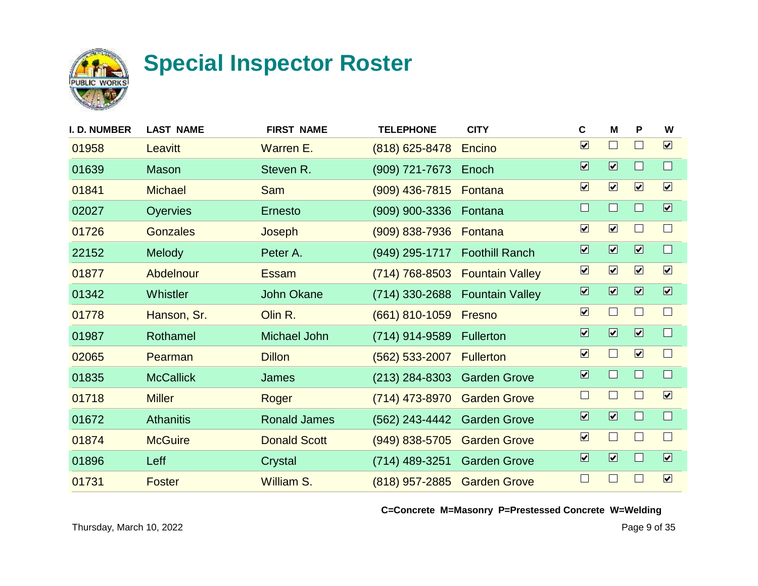

| <b>I. D. NUMBER</b> | <b>LAST NAME</b> | <b>FIRST NAME</b>   | <b>TELEPHONE</b>            | <b>CITY</b>            | $\mathbf c$                  | M                            | P                       | W                            |
|---------------------|------------------|---------------------|-----------------------------|------------------------|------------------------------|------------------------------|-------------------------|------------------------------|
| 01958               | Leavitt          | Warren E.           | $(818)$ 625-8478            | Encino                 | $\boxed{\mathbf{v}}$         | $\Box$                       | $\mathsf{L}$            | $\boxed{\mathbf{v}}$         |
| 01639               | <b>Mason</b>     | Steven R.           | (909) 721-7673              | Enoch                  | $\overline{\mathbf{v}}$      | $\boxed{\blacktriangledown}$ |                         | $\Box$                       |
| 01841               | <b>Michael</b>   | <b>Sam</b>          | $(909)$ 436-7815            | Fontana                | $\boxed{\blacktriangledown}$ | $\boxed{\mathbf{v}}$         | $\boxed{\mathbf{v}}$    | $\boxed{\checkmark}$         |
| 02027               | Oyervies         | <b>Ernesto</b>      | (909) 900-3336              | Fontana                | $\Box$                       | $\Box$                       |                         | $\overline{\mathbf{v}}$      |
| 01726               | <b>Gonzales</b>  | Joseph              | $(909) 838 - 7936$          | Fontana                | $\boxed{\blacktriangledown}$ | $\boxed{\mathbf{v}}$         | $\mathbf{L}$            | $\Box$                       |
| 22152               | Melody           | Peter A.            | (949) 295-1717              | <b>Foothill Ranch</b>  | $\overline{\mathbf{v}}$      | $\boxed{\blacktriangledown}$ | $\overline{\mathbf{v}}$ | $\Box$                       |
| 01877               | Abdelnour        | <b>Essam</b>        | $(714) 768 - 8503$          | <b>Fountain Valley</b> | $\boxed{\mathbf{v}}$         | $\boxed{\mathbf{v}}$         | $\boxed{\mathbf{v}}$    | $\boxed{\checkmark}$         |
| 01342               | <b>Whistler</b>  | <b>John Okane</b>   | (714) 330-2688              | <b>Fountain Valley</b> | $\overline{\mathbf{v}}$      | $\boxed{\blacktriangledown}$ | $\overline{\mathbf{v}}$ | $\boxed{\mathbf{v}}$         |
| 01778               | Hanson, Sr.      | Olin R.             | (661) 810-1059              | Fresno                 | $\boxed{\blacktriangledown}$ | $\Box$                       | $\Box$                  | $\Box$                       |
| 01987               | Rothamel         | Michael John        | (714) 914-9589              | <b>Fullerton</b>       | $\overline{\mathbf{v}}$      | $\boxed{\blacktriangledown}$ | $\overline{\mathbf{v}}$ | $\Box$                       |
| 02065               | Pearman          | <b>Dillon</b>       | $(562)$ 533-2007            | <b>Fullerton</b>       | $\boxed{\blacktriangledown}$ | $\Box$                       | $\boxed{\mathbf{v}}$    | $\Box$                       |
| 01835               | <b>McCallick</b> | James               | $(213)$ 284-8303            | <b>Garden Grove</b>    | $\overline{\mathbf{v}}$      | $\Box$                       | П                       | $\Box$                       |
| 01718               | <b>Miller</b>    | Roger               | (714) 473-8970              | <b>Garden Grove</b>    | $\Box$                       | $\Box$                       |                         | $\overline{\mathbf{v}}$      |
| 01672               | <b>Athanitis</b> | <b>Ronald James</b> | (562) 243-4442 Garden Grove |                        | $\overline{\mathbf{v}}$      | $\boxed{\blacktriangledown}$ |                         | $\Box$                       |
| 01874               | <b>McGuire</b>   | <b>Donald Scott</b> | $(949)$ 838-5705            | <b>Garden Grove</b>    | $\boxed{\blacktriangledown}$ | $\Box$                       | $\mathbf{I}$            | $\Box$                       |
| 01896               | Leff             | Crystal             | (714) 489-3251              | <b>Garden Grove</b>    | $\overline{\mathbf{v}}$      | $\boxed{\blacktriangledown}$ |                         | $\boxed{\blacktriangledown}$ |
| 01731               | <b>Foster</b>    | <b>William S.</b>   | (818) 957-2885              | <b>Garden Grove</b>    | $\Box$                       | $\Box$                       |                         | $\boxed{\checkmark}$         |
|                     |                  |                     |                             |                        |                              |                              |                         |                              |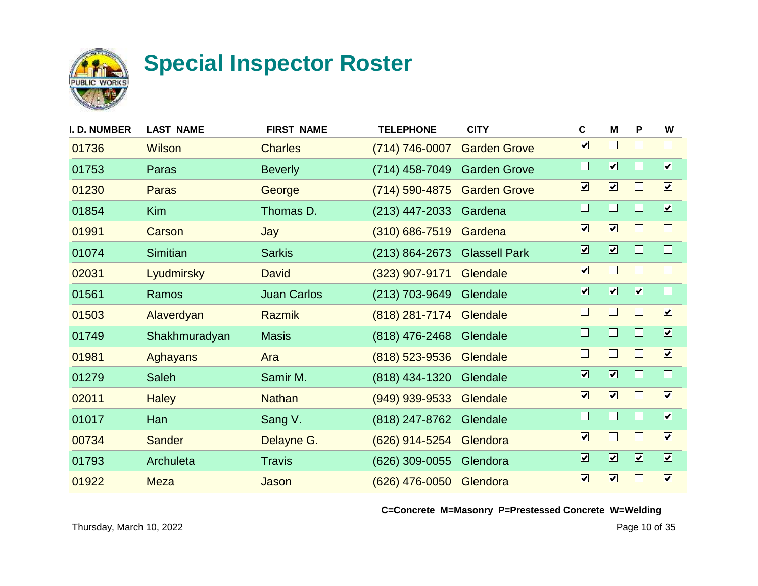

| I. D. NUMBER | <b>LAST NAME</b> | <b>FIRST NAME</b>  | <b>TELEPHONE</b>   | <b>CITY</b>          | C                            | M                            | P                       | W                            |
|--------------|------------------|--------------------|--------------------|----------------------|------------------------------|------------------------------|-------------------------|------------------------------|
| 01736        | <b>Wilson</b>    | <b>Charles</b>     | (714) 746-0007     | <b>Garden Grove</b>  | $\overline{\mathbf{v}}$      | $\Box$                       |                         | $\Box$                       |
| 01753        | Paras            | <b>Beverly</b>     | (714) 458-7049     | <b>Garden Grove</b>  | $\Box$                       | $\boxed{\blacktriangledown}$ | ш                       | $\boxed{\blacktriangledown}$ |
| 01230        | Paras            | George             | (714) 590-4875     | <b>Garden Grove</b>  | $\boxed{\blacktriangledown}$ | $\boxed{\mathbf{v}}$         | $\mathbf{I}$            | $\boxed{\mathbf{v}}$         |
| 01854        | <b>Kim</b>       | Thomas D.          | $(213)$ 447-2033   | Gardena              | $\Box$                       | $\Box$                       |                         | $\boxed{\mathbf{v}}$         |
| 01991        | Carson           | Jay                | $(310) 686 - 7519$ | Gardena              | $\overline{\mathbf{v}}$      | $\boxed{\mathbf{v}}$         |                         | $\Box$                       |
| 01074        | <b>Simitian</b>  | <b>Sarkis</b>      | $(213) 864 - 2673$ | <b>Glassell Park</b> | $\overline{\mathbf{v}}$      | $\overline{\mathbf{v}}$      |                         | $\Box$                       |
| 02031        | Lyudmirsky       | <b>David</b>       | $(323)$ 907-9171   | Glendale             | $\blacktriangledown$         | $\Box$                       |                         | $\Box$                       |
| 01561        | Ramos            | <b>Juan Carlos</b> | (213) 703-9649     | Glendale             | $\overline{\mathbf{v}}$      | $\overline{\mathbf{v}}$      | $\overline{\mathbf{v}}$ | $\Box$                       |
| 01503        | Alaverdyan       | <b>Razmik</b>      | (818) 281-7174     | Glendale             | $\Box$                       | $\Box$                       |                         | $\boxed{\checkmark}$         |
| 01749        | Shakhmuradyan    | <b>Masis</b>       | (818) 476-2468     | Glendale             | $\Box$                       | $\Box$                       | ш                       | $\overline{\mathbf{v}}$      |
| 01981        | <b>Aghayans</b>  | Ara                | $(818)$ 523-9536   | Glendale             | $\Box$                       | $\Box$                       | $\mathbf{I}$            | $\boxed{\mathbf{v}}$         |
| 01279        | Saleh            | Samir M.           | (818) 434-1320     | Glendale             | $\overline{\mathbf{v}}$      | $\overline{\mathbf{v}}$      |                         | $\Box$                       |
| 02011        | <b>Haley</b>     | <b>Nathan</b>      | $(949)$ 939-9533   | Glendale             | $\overline{\mathbf{v}}$      | $\boxed{\mathbf{v}}$         |                         | $\boxed{\mathbf{v}}$         |
| 01017        | Han              | Sang V.            | (818) 247-8762     | Glendale             | $\Box$                       | $\Box$                       |                         | $\overline{\mathbf{v}}$      |
| 00734        | <b>Sander</b>    | Delayne G.         | (626) 914-5254     | Glendora             | $\overline{\mathbf{v}}$      | $\Box$                       |                         | $\boxed{\mathbf{v}}$         |
| 01793        | Archuleta        | <b>Travis</b>      | (626) 309-0055     | Glendora             | $\overline{\mathbf{v}}$      | $\overline{\mathbf{v}}$      | $\overline{\mathbf{v}}$ | $\boxed{\blacktriangledown}$ |
| 01922        | <b>Meza</b>      | Jason              | (626) 476-0050     | Glendora             | $\boxed{\checkmark}$         | $\boxed{\mathbf{v}}$         |                         | $\boxed{\mathbf{v}}$         |
|              |                  |                    |                    |                      |                              |                              |                         |                              |

**C=Concrete M=Masonry P=Prestessed Concrete W=Welding**

Thursday, March 10, 2022 Page 10 of 35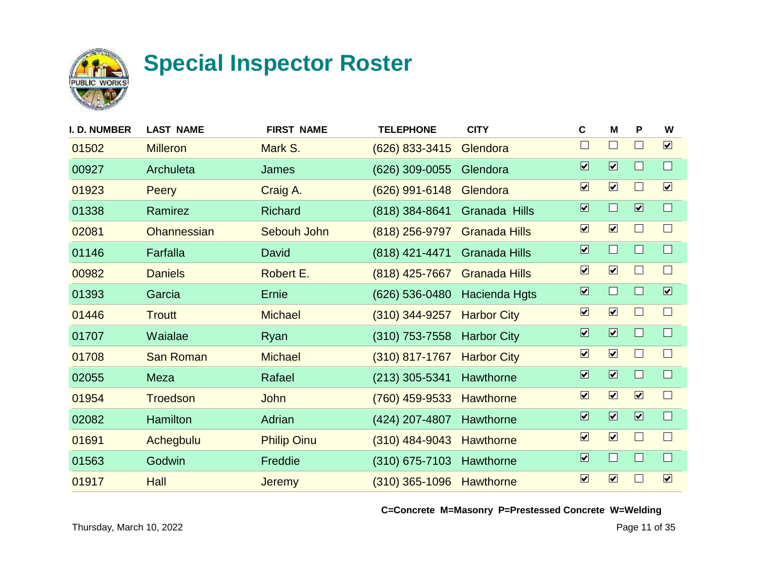

| I. D. NUMBER | <b>LAST NAME</b>   | <b>FIRST NAME</b>  | <b>TELEPHONE</b> | <b>CITY</b>          | C                            | M                           | P                       | W                            |
|--------------|--------------------|--------------------|------------------|----------------------|------------------------------|-----------------------------|-------------------------|------------------------------|
| 01502        | <b>Milleron</b>    | Mark S.            | (626) 833-3415   | Glendora             | $\Box$                       | $\vert \ \ \vert$           |                         | $\boxed{\mathbf{v}}$         |
| 00927        | Archuleta          | James              | (626) 309-0055   | Glendora             | $\overline{\mathbf{v}}$      | $\overline{\mathbf{v}}$     |                         | $\Box$                       |
| 01923        | <b>Peery</b>       | Craig A.           | $(626)$ 991-6148 | Glendora             | $\boxed{\mathbf{v}}$         | $\boxed{\mathbf{v}}$        |                         | $\boxed{\mathbf{v}}$         |
| 01338        | Ramirez            | <b>Richard</b>     | $(818)$ 384-8641 | Granada Hills        | $\overline{\mathbf{v}}$      | $\Box$                      | $\overline{\mathbf{v}}$ | $\Box$                       |
| 02081        | <b>Ohannessian</b> | Sebouh John        | $(818)$ 256-9797 | <b>Granada Hills</b> | $\boxed{\blacktriangledown}$ | $\boxed{\mathbf{v}}$        |                         | $\Box$                       |
| 01146        | Farfalla           | David              | (818) 421-4471   | <b>Granada Hills</b> | $\overline{\mathbf{v}}$      | $\Box$                      |                         | $\Box$                       |
| 00982        | <b>Daniels</b>     | Robert E.          | (818) 425-7667   | <b>Granada Hills</b> | $\boxed{\mathbf{v}}$         | $\boxed{\mathbf{v}}$        |                         | $\Box$                       |
| 01393        | Garcia             | Ernie              | (626) 536-0480   | Hacienda Hgts        | $\overline{\mathbf{v}}$      | $\mathcal{L}_{\mathcal{A}}$ |                         | $\boxed{\blacktriangledown}$ |
| 01446        | <b>Troutt</b>      | <b>Michael</b>     | $(310)$ 344-9257 | <b>Harbor City</b>   | $\overline{\mathbf{v}}$      | $\boxed{\mathbf{v}}$        | $\mathbf{1}$            | $\Box$                       |
| 01707        | Waialae            | Ryan               | $(310)$ 753-7558 | <b>Harbor City</b>   | $\overline{\mathbf{v}}$      | $\overline{\mathbf{v}}$     | ш                       | $\Box$                       |
| 01708        | <b>San Roman</b>   | <b>Michael</b>     | $(310)$ 817-1767 | <b>Harbor City</b>   | $\boxed{\blacktriangledown}$ | $\boxed{\mathbf{v}}$        |                         | $\Box$                       |
| 02055        | Meza               | Rafael             | $(213)$ 305-5341 | Hawthorne            | $\overline{\mathbf{v}}$      | $\overline{\mathbf{z}}$     |                         | $\Box$                       |
| 01954        | <b>Troedson</b>    | John               | (760) 459-9533   | <b>Hawthorne</b>     | $\boxed{\blacktriangledown}$ | $\boxed{\mathbf{v}}$        | $\boxed{\mathbf{v}}$    | $\Box$                       |
| 02082        | <b>Hamilton</b>    | Adrian             | (424) 207-4807   | Hawthorne            | $\overline{\mathbf{v}}$      | $\overline{\mathbf{v}}$     | $\overline{\mathbf{v}}$ | $\Box$                       |
| 01691        | Achegbulu          | <b>Philip Oinu</b> | $(310)$ 484-9043 | <b>Hawthorne</b>     | $\boxed{\checkmark}$         | $\boxed{\mathbf{v}}$        |                         | $\Box$                       |
| 01563        | Godwin             | Freddie            | $(310)$ 675-7103 | Hawthorne            | $\overline{\mathbf{v}}$      | $\Box$                      |                         | $\Box$                       |
| 01917        | Hall               | <b>Jeremy</b>      | $(310)$ 365-1096 | Hawthorne            | $\overline{\mathbf{v}}$      | $\boxed{\mathbf{v}}$        |                         | $\boxed{\checkmark}$         |
|              |                    |                    |                  |                      |                              |                             |                         |                              |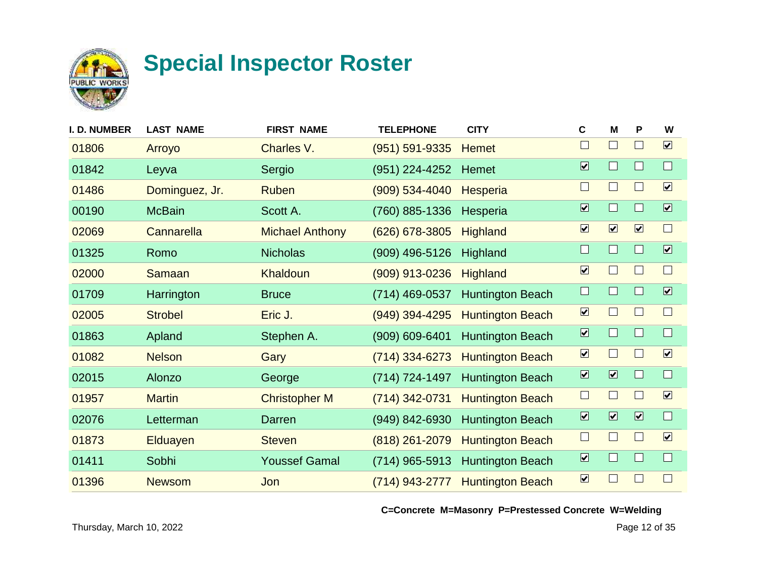

| <b>I. D. NUMBER</b> | <b>LAST NAME</b> | <b>FIRST NAME</b>      | <b>TELEPHONE</b>   | <b>CITY</b>             | $\mathbf c$                  | M                       | P                       | W                            |
|---------------------|------------------|------------------------|--------------------|-------------------------|------------------------------|-------------------------|-------------------------|------------------------------|
| 01806               | Arroyo           | Charles V.             | $(951) 591 - 9335$ | <b>Hemet</b>            | $\Box$                       | $\Box$                  | $\Box$                  | $\boxed{\blacktriangledown}$ |
| 01842               | Leyva            | Sergio                 | (951) 224-4252     | Hemet                   | $\overline{\mathbf{v}}$      | $\Box$                  | $\Box$                  | $\Box$                       |
| 01486               | Dominguez, Jr.   | <b>Ruben</b>           | $(909) 534 - 4040$ | <b>Hesperia</b>         | $\Box$                       | $\Box$                  | $\Box$                  | $\boxed{\mathbf{v}}$         |
| 00190               | <b>McBain</b>    | Scott A.               | (760) 885-1336     | Hesperia                | $\overline{\mathbf{v}}$      | $\Box$                  | $\Box$                  | $\overline{\mathbf{v}}$      |
| 02069               | Cannarella       | <b>Michael Anthony</b> | $(626)$ 678-3805   | <b>Highland</b>         | $\boxed{\blacktriangledown}$ | $\boxed{\mathbf{v}}$    | $\boxed{\checkmark}$    | $\Box$                       |
| 01325               | Romo             | <b>Nicholas</b>        | (909) 496-5126     | Highland                | $\Box$                       | $\Box$                  | $\Box$                  | $\overline{\mathbf{v}}$      |
| 02000               | <b>Samaan</b>    | Khaldoun               | (909) 913-0236     | <b>Highland</b>         | $\boxed{\checkmark}$         | $\Box$                  | Н                       | $\Box$                       |
| 01709               | Harrington       | <b>Bruce</b>           | (714) 469-0537     | <b>Huntington Beach</b> | $\Box$                       | $\Box$                  | $\Box$                  | $\overline{\mathbf{v}}$      |
| 02005               | <b>Strobel</b>   | Eric J.                | (949) 394-4295     | <b>Huntington Beach</b> | $\boxed{\mathbf{v}}$         | $\Box$                  | L                       | $\Box$                       |
| 01863               | Apland           | Stephen A.             | $(909) 609 - 6401$ | <b>Huntington Beach</b> | $\overline{\mathbf{v}}$      | $\Box$                  | $\Box$                  | $\Box$                       |
| 01082               | <b>Nelson</b>    | Gary                   | $(714)$ 334-6273   | <b>Huntington Beach</b> | $\boxed{\blacktriangledown}$ | $\Box$                  | L                       | $\boxed{\mathbf{v}}$         |
| 02015               | Alonzo           | George                 | (714) 724-1497     | <b>Huntington Beach</b> | $\overline{\mathbf{v}}$      | $\overline{\mathbf{v}}$ | $\Box$                  | $\Box$                       |
| 01957               | <b>Martin</b>    | <b>Christopher M</b>   | (714) 342-0731     | <b>Huntington Beach</b> | $\Box$                       | $\Box$                  |                         | $\boxed{\mathbf{v}}$         |
| 02076               | Letterman        | Darren                 | (949) 842-6930     | <b>Huntington Beach</b> | $\boxed{\blacktriangledown}$ | $\overline{\mathbf{v}}$ | $\overline{\mathbf{v}}$ | $\Box$                       |
| 01873               | <b>Elduayen</b>  | <b>Steven</b>          | (818) 261-2079     | <b>Huntington Beach</b> | $\Box$                       | $\Box$                  | L                       | $\boxed{\mathbf{v}}$         |
| 01411               | Sobhi            | <b>Youssef Gamal</b>   | (714) 965-5913     | <b>Huntington Beach</b> | $\overline{\mathbf{v}}$      | $\Box$                  | $\Box$                  | $\Box$                       |
| 01396               | <b>Newsom</b>    | Jon                    | $(714)$ 943-2777   | <b>Huntington Beach</b> | $\boxed{\checkmark}$         | $\Box$                  |                         |                              |
|                     |                  |                        |                    |                         |                              |                         |                         |                              |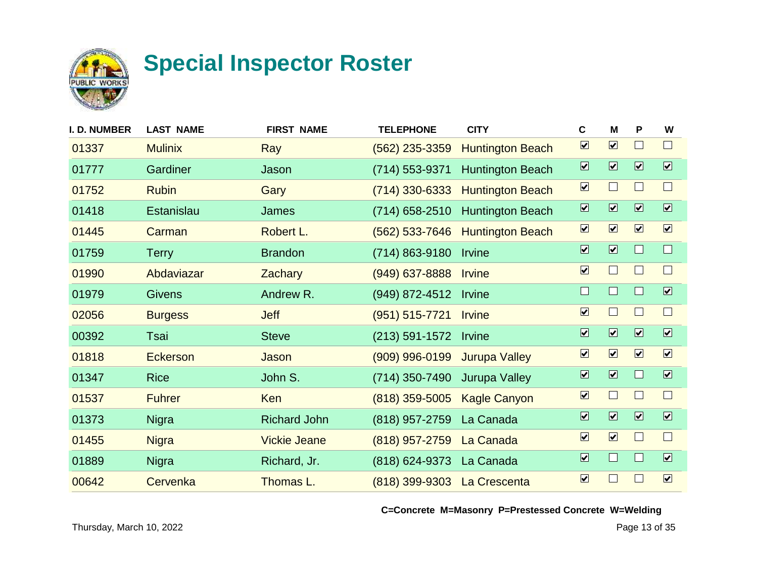

| <b>I. D. NUMBER</b> | <b>LAST NAME</b> | <b>FIRST NAME</b>   | <b>TELEPHONE</b>   | <b>CITY</b>             | C                            | м                            | P                       | W                       |
|---------------------|------------------|---------------------|--------------------|-------------------------|------------------------------|------------------------------|-------------------------|-------------------------|
| 01337               | <b>Mulinix</b>   | Ray                 | $(562)$ 235-3359   | <b>Huntington Beach</b> | $\overline{\mathbf{v}}$      | $\boxed{\mathbf{v}}$         |                         | $\Box$                  |
| 01777               | Gardiner         | Jason               | (714) 553-9371     | <b>Huntington Beach</b> | $\overline{\mathbf{v}}$      | $\boxed{\blacktriangledown}$ | $\overline{\mathbf{v}}$ | $\boxed{\mathbf{v}}$    |
| 01752               | <b>Rubin</b>     | Gary                | $(714)$ 330-6333   | <b>Huntington Beach</b> | $\boxed{\blacktriangledown}$ | $\Box$                       |                         | $\Box$                  |
| 01418               | Estanislau       | James               | (714) 658-2510     | <b>Huntington Beach</b> | $\overline{\mathbf{v}}$      | $\overline{\mathbf{v}}$      | $\boxed{\mathbf{v}}$    | $\overline{\mathbf{v}}$ |
| 01445               | Carman           | Robert L.           | $(562)$ 533-7646   | <b>Huntington Beach</b> | $\boxed{\blacktriangledown}$ | $\boxed{\mathbf{v}}$         | $\boxed{\mathbf{v}}$    | $\boxed{\checkmark}$    |
| 01759               | <b>Terry</b>     | <b>Brandon</b>      | (714) 863-9180     | Irvine                  | $\overline{\mathbf{v}}$      | $\overline{\mathbf{v}}$      |                         | $\Box$                  |
| 01990               | Abdaviazar       | <b>Zachary</b>      | $(949)$ 637-8888   | <b>Irvine</b>           | $\boxed{\mathbf{v}}$         | $\Box$                       |                         | $\Box$                  |
| 01979               | <b>Givens</b>    | Andrew R.           | (949) 872-4512     | <b>Irvine</b>           | $\Box$                       | $\Box$                       |                         | $\overline{\mathbf{v}}$ |
| 02056               | <b>Burgess</b>   | <b>Jeff</b>         | $(951) 515 - 7721$ | <b>Irvine</b>           | $\overline{\mathbf{v}}$      | $\Box$                       | H                       | $\Box$                  |
| 00392               | Tsai             | <b>Steve</b>        | $(213) 591 - 1572$ | Irvine                  | $\overline{\mathbf{v}}$      | $\overline{\mathbf{v}}$      | $\overline{\mathbf{z}}$ | $\overline{\mathbf{v}}$ |
| 01818               | <b>Eckerson</b>  | Jason               | $(909)$ 996-0199   | <b>Jurupa Valley</b>    | $\boxed{\mathbf{v}}$         | $\boxed{\mathbf{v}}$         | $\boxed{\mathbf{v}}$    | $\boxed{\mathbf{v}}$    |
| 01347               | <b>Rice</b>      | John S.             | (714) 350-7490     | <b>Jurupa Valley</b>    | $\overline{\mathbf{v}}$      | $\overline{\mathbf{v}}$      |                         | $\overline{\mathbf{v}}$ |
| 01537               | <b>Fuhrer</b>    | Ken                 | $(818)$ 359-5005   | <b>Kagle Canyon</b>     | $\overline{\mathbf{v}}$      | $\Box$                       |                         | $\Box$                  |
| 01373               | <b>Nigra</b>     | <b>Richard John</b> | (818) 957-2759     | La Canada               | $\overline{\mathbf{v}}$      | $\overline{\mathbf{v}}$      | $\boxed{\checkmark}$    | $\overline{\mathbf{v}}$ |
| 01455               | <b>Nigra</b>     | <b>Vickie Jeane</b> | (818) 957-2759     | La Canada               | $\boxed{\checkmark}$         | $\boxed{\mathbf{v}}$         |                         | $\Box$                  |
| 01889               | <b>Nigra</b>     | Richard, Jr.        | (818) 624-9373     | La Canada               | $\boxed{\blacktriangledown}$ | $\Box$                       |                         | $\boxed{\mathbf{v}}$    |
| 00642               | Cervenka         | Thomas L.           | $(818)$ 399-9303   | La Crescenta            | $\overline{\mathbf{v}}$      | $\Box$                       |                         | $\boxed{\mathbf{v}}$    |
|                     |                  |                     |                    |                         |                              |                              |                         |                         |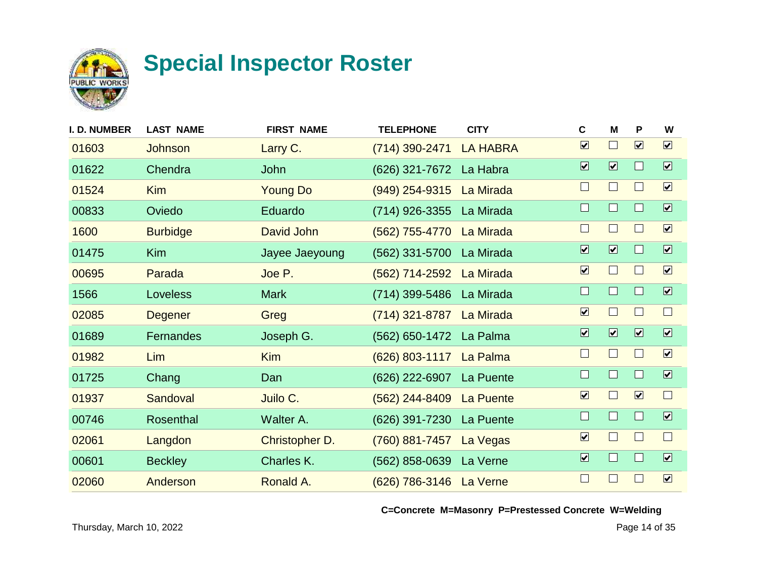

| I. D. NUMBER | <b>LAST NAME</b> | <b>FIRST NAME</b> | <b>TELEPHONE</b>         | <b>CITY</b>     | $\mathbf c$                  | M                            | P                       | W                       |
|--------------|------------------|-------------------|--------------------------|-----------------|------------------------------|------------------------------|-------------------------|-------------------------|
| 01603        | Johnson          | Larry C.          | (714) 390-2471           | <b>LA HABRA</b> | $\boxed{\blacktriangledown}$ | $\Box$                       | $\boxed{\mathbf{v}}$    | $\boxed{\mathbf{v}}$    |
| 01622        | Chendra          | John              | (626) 321-7672           | La Habra        | $\overline{\mathbf{v}}$      | $\boxed{\blacktriangledown}$ | $\mathbf{L}$            | $\overline{\mathbf{v}}$ |
| 01524        | <b>Kim</b>       | <b>Young Do</b>   | $(949)$ 254-9315         | La Mirada       | $\Box$                       | $\Box$                       | $\mathsf{L}$            | $\boxed{\checkmark}$    |
| 00833        | Oviedo           | Eduardo           | (714) 926-3355           | La Mirada       | $\Box$                       | $\Box$                       |                         | $\overline{\mathbf{v}}$ |
| 1600         | <b>Burbidge</b>  | David John        | (562) 755-4770 La Mirada |                 | $\Box$                       | $\Box$                       | $\mathbf{L}$            | $\boxed{\mathbf{v}}$    |
| 01475        | <b>Kim</b>       | Jayee Jaeyoung    | (562) 331-5700           | La Mirada       | $\overline{\mathbf{v}}$      | $\boxed{\blacktriangledown}$ |                         | $\overline{\mathbf{v}}$ |
| 00695        | Parada           | Joe P.            | (562) 714-2592           | La Mirada       | $\boxed{\blacktriangledown}$ | $\Box$                       | ш                       | $\boxed{\checkmark}$    |
| 1566         | <b>Loveless</b>  | <b>Mark</b>       | (714) 399-5486 La Mirada |                 | $\Box$                       | $\Box$                       | <b>Tara</b>             | $\overline{\mathbf{v}}$ |
| 02085        | <b>Degener</b>   | Greg              | (714) 321-8787 La Mirada |                 | $\boxed{\mathbf{v}}$         | $\Box$                       | $\mathsf{L}$            | $\Box$                  |
| 01689        | Fernandes        | Joseph G.         | (562) 650-1472           | La Palma        | $\overline{\mathbf{v}}$      | $\overline{\mathbf{v}}$      | $\overline{\mathbf{z}}$ | $\overline{\mathbf{v}}$ |
| 01982        | Lim              | <b>Kim</b>        | $(626)$ 803-1117         | La Palma        | $\Box$                       | $\Box$                       | $\mathsf{L}$            | $\boxed{\mathbf{v}}$    |
| 01725        | Chang            | Dan               | (626) 222-6907           | La Puente       | $\Box$                       | $\Box$                       |                         | $\overline{\mathbf{v}}$ |
| 01937        | Sandoval         | Juilo C.          | $(562)$ 244-8409         | La Puente       | $\overline{\mathbf{v}}$      | $\Box$                       | $\boxed{\mathbf{v}}$    | $\Box$                  |
| 00746        | Rosenthal        | Walter A.         | (626) 391-7230           | La Puente       | $\Box$                       | $\Box$                       |                         | $\boxed{\checkmark}$    |
| 02061        | Langdon          | Christopher D.    | (760) 881-7457           | La Vegas        | $\boxed{\checkmark}$         | $\Box$                       | $\Box$                  | $\Box$                  |
| 00601        | <b>Beckley</b>   | Charles K.        | (562) 858-0639           | La Verne        | $\overline{\mathbf{v}}$      | $\Box$                       | Ш                       | $\boxed{\checkmark}$    |
| 02060        | Anderson         | Ronald A.         | (626) 786-3146 La Verne  |                 | $\Box$                       | $\Box$                       |                         | $\boxed{\checkmark}$    |
|              |                  |                   |                          |                 |                              |                              |                         |                         |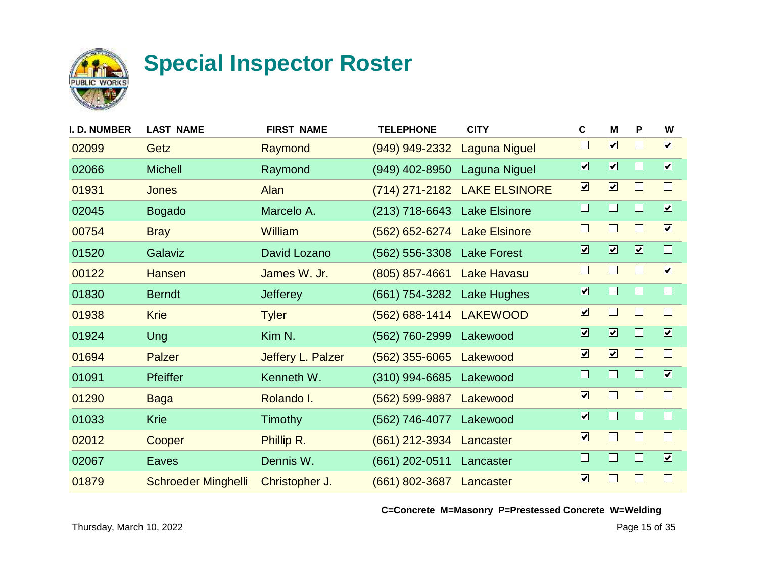

| I. D. NUMBER | <b>LAST NAME</b>           | <b>FIRST NAME</b> | <b>TELEPHONE</b>             | <b>CITY</b>                  | C                            | м                            | P                       | W                            |
|--------------|----------------------------|-------------------|------------------------------|------------------------------|------------------------------|------------------------------|-------------------------|------------------------------|
| 02099        | Getz                       | Raymond           | (949) 949-2332               | <b>Laguna Niguel</b>         | $\Box$                       | $\boxed{\mathbf{v}}$         |                         | $\boxed{\mathbf{v}}$         |
| 02066        | <b>Michell</b>             | Raymond           | (949) 402-8950               | Laguna Niguel                | $\overline{\mathbf{v}}$      | $\boxed{\blacktriangledown}$ |                         | $\boxed{\blacktriangledown}$ |
| 01931        | <b>Jones</b>               | Alan              |                              | (714) 271-2182 LAKE ELSINORE | $\boxed{\blacktriangledown}$ | $\boxed{\mathbf{v}}$         |                         | $\Box$                       |
| 02045        | <b>Bogado</b>              | Marcelo A.        | (213) 718-6643 Lake Elsinore |                              | $\Box$                       | $\Box$                       |                         | $\overline{\mathbf{v}}$      |
| 00754        | <b>Bray</b>                | William           | (562) 652-6274 Lake Elsinore |                              | $\Box$                       | $\vert \ \ \vert$            |                         | $\boxed{\blacktriangledown}$ |
| 01520        | Galaviz                    | David Lozano      | (562) 556-3308 Lake Forest   |                              | $\overline{\mathbf{v}}$      | $\overline{\mathbf{v}}$      | $\overline{\mathbf{v}}$ | $\Box$                       |
| 00122        | <b>Hansen</b>              | James W. Jr.      | $(805)$ 857-4661             | <b>Lake Havasu</b>           | $\Box$                       | $\Box$                       |                         | $\boxed{\checkmark}$         |
| 01830        | <b>Berndt</b>              | <b>Jefferey</b>   | (661) 754-3282 Lake Hughes   |                              | $\overline{\mathbf{v}}$      | $\Box$                       |                         | $\Box$                       |
| 01938        | <b>Krie</b>                | <b>Tyler</b>      | (562) 688-1414 LAKEWOOD      |                              | $\overline{\mathbf{v}}$      | $\Box$                       |                         | $\Box$                       |
| 01924        | Ung                        | Kim N.            | (562) 760-2999               | Lakewood                     | $\overline{\mathbf{v}}$      | $\overline{\mathbf{v}}$      |                         | $\overline{\mathbf{v}}$      |
| 01694        | Palzer                     | Jeffery L. Palzer | $(562)$ 355-6065             | Lakewood                     | $\boxed{\blacktriangledown}$ | $\boxed{\mathbf{v}}$         |                         | $\Box$                       |
| 01091        | Pfeiffer                   | Kenneth W.        | $(310)$ 994-6685             | Lakewood                     | $\Box$                       | $\Box$                       |                         | $\overline{\mathbf{v}}$      |
| 01290        | <b>Baga</b>                | Rolando I.        | $(562)$ 599-9887             | Lakewood                     | $\overline{\mathbf{v}}$      | $\Box$                       |                         | $\Box$                       |
| 01033        | <b>Krie</b>                | <b>Timothy</b>    | (562) 746-4077               | Lakewood                     | $\overline{\mathbf{v}}$      | $\Box$                       |                         | $\Box$                       |
| 02012        | Cooper                     | Phillip R.        | (661) 212-3934               | Lancaster                    | $\overline{\mathbf{v}}$      | $\Box$                       |                         | $\Box$                       |
| 02067        | Eaves                      | Dennis W.         | (661) 202-0511               | Lancaster                    | $\Box$                       | $\Box$                       |                         | $\boxed{\blacktriangledown}$ |
| 01879        | <b>Schroeder Minghelli</b> | Christopher J.    | $(661) 802 - 3687$           | Lancaster                    | $\overline{\mathbf{v}}$      | $\Box$                       |                         | $\Box$                       |
|              |                            |                   |                              |                              |                              |                              |                         |                              |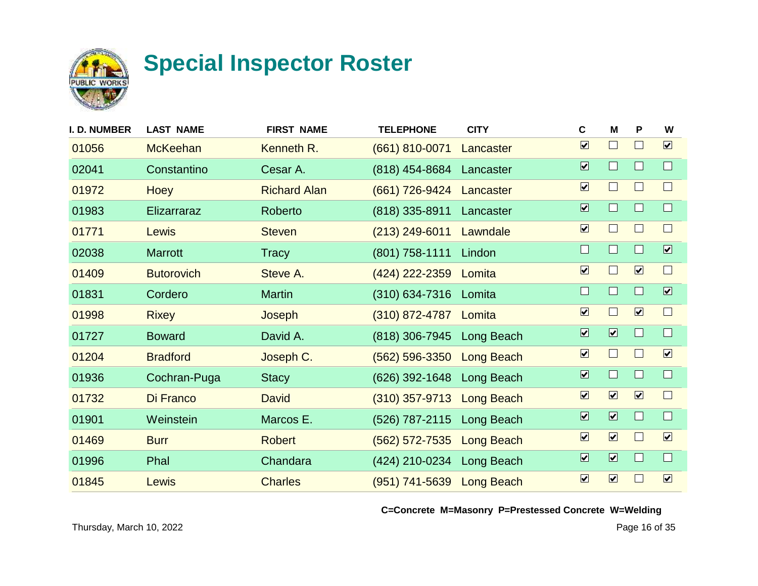

| <b>I. D. NUMBER</b> | <b>LAST NAME</b>  | <b>FIRST NAME</b>   | <b>TELEPHONE</b>          | <b>CITY</b> | $\mathbf c$                  | M                            | P                    | W                       |
|---------------------|-------------------|---------------------|---------------------------|-------------|------------------------------|------------------------------|----------------------|-------------------------|
| 01056               | <b>McKeehan</b>   | Kenneth R.          | (661) 810-0071            | Lancaster   | $\boxed{\mathbf{v}}$         | $\Box$                       | $\Box$               | $\boxed{\mathbf{v}}$    |
| 02041               | Constantino       | Cesar A.            | $(818)$ 454-8684          | Lancaster   | $\overline{\mathbf{v}}$      | $\Box$                       |                      | $\Box$                  |
| 01972               | <b>Hoey</b>       | <b>Richard Alan</b> | (661) 726-9424            | Lancaster   | $\boxed{\blacktriangledown}$ | $\Box$                       | $\mathsf{L}$         | $\Box$                  |
| 01983               | Elizarraraz       | Roberto             | $(818)$ 335-8911          | Lancaster   | $\overline{\mathbf{v}}$      | $\Box$                       |                      | $\Box$                  |
| 01771               | Lewis             | <b>Steven</b>       | $(213)$ 249-6011          | Lawndale    | $\boxed{\blacktriangledown}$ | $\Box$                       | $\Box$               | $\Box$                  |
| 02038               | <b>Marrott</b>    | <b>Tracy</b>        | (801) 758-1111            | Lindon      | $\Box$                       | $\Box$                       |                      | $\overline{\mathbf{v}}$ |
| 01409               | <b>Butorovich</b> | Steve A.            | (424) 222-2359            | Lomita      | $\boxed{\mathbf{v}}$         | $\Box$                       | $\boxed{\mathbf{v}}$ | $\Box$                  |
| 01831               | Cordero           | <b>Martin</b>       | $(310) 634 - 7316$        | Lomita      | $\Box$                       | $\Box$                       | ⊔                    | $\overline{\mathbf{v}}$ |
| 01998               | <b>Rixey</b>      | Joseph              | (310) 872-4787 Lomita     |             | $\boxed{\blacktriangledown}$ | $\Box$                       | $\boxed{\mathbf{v}}$ | $\Box$                  |
| 01727               | <b>Boward</b>     | David A.            | (818) 306-7945            | Long Beach  | $\overline{\mathbf{v}}$      | $\boxed{\blacksquare}$       | $\Box$               | $\Box$                  |
| 01204               | <b>Bradford</b>   | Joseph C.           | $(562) 596 - 3350$        | Long Beach  | $\boxed{\mathbf{v}}$         | $\Box$                       | $\Box$               | $\boxed{\checkmark}$    |
| 01936               | Cochran-Puga      | <b>Stacy</b>        | $(626)$ 392-1648          | Long Beach  | $\overline{\mathbf{v}}$      | $\Box$                       |                      | $\Box$                  |
| 01732               | Di Franco         | <b>David</b>        | (310) 357-9713 Long Beach |             | $\overline{\mathbf{v}}$      | $\boxed{\mathbf{v}}$         | $\boxed{\mathbf{v}}$ | $\Box$                  |
| 01901               | Weinstein         | Marcos E.           | (526) 787-2115 Long Beach |             | $\overline{\mathbf{v}}$      | $\boxed{\blacktriangledown}$ |                      | $\Box$                  |
| 01469               | <b>Burr</b>       | <b>Robert</b>       | $(562)$ 572-7535          | Long Beach  | $\boxed{\blacktriangledown}$ | $\boxed{\mathbf{v}}$         | $\Box$               | $\boxed{\checkmark}$    |
| 01996               | Phal              | Chandara            | (424) 210-0234 Long Beach |             | $\overline{\mathbf{v}}$      | $\boxed{\blacktriangledown}$ | $\Box$               | $\Box$                  |
| 01845               | Lewis             | <b>Charles</b>      | (951) 741-5639 Long Beach |             | $\boxed{\blacktriangledown}$ | $\boxed{\mathbf{v}}$         |                      | $\boxed{\checkmark}$    |
|                     |                   |                     |                           |             |                              |                              |                      |                         |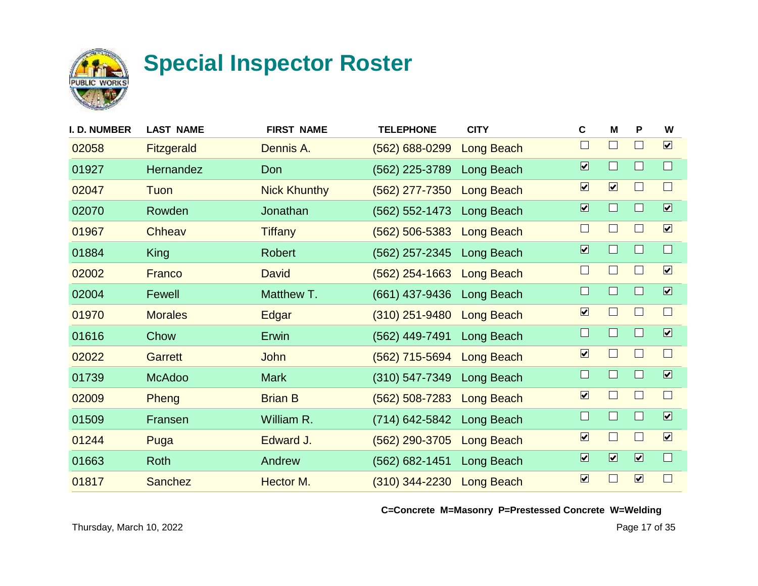

| I. D. NUMBER | <b>LAST NAME</b>  | <b>FIRST NAME</b>   | <b>TELEPHONE</b>   | <b>CITY</b>       | $\mathbf c$                  | M                       | P                       | W                            |
|--------------|-------------------|---------------------|--------------------|-------------------|------------------------------|-------------------------|-------------------------|------------------------------|
| 02058        | <b>Fitzgerald</b> | Dennis A.           | $(562) 688 - 0299$ | Long Beach        | $\Box$                       | $\Box$                  | $\mathbf{I}$            | $\boxed{\mathbf{v}}$         |
| 01927        | Hernandez         | Don                 | (562) 225-3789     | Long Beach        | $\overline{\mathbf{v}}$      | $\Box$                  |                         | $\Box$                       |
| 02047        | Tuon              | <b>Nick Khunthy</b> | $(562)$ 277-7350   | <b>Long Beach</b> | $\boxed{\checkmark}$         | $\boxed{\mathbf{v}}$    |                         | $\Box$                       |
| 02070        | Rowden            | Jonathan            | $(562) 552 - 1473$ | Long Beach        | $\overline{\mathbf{v}}$      | $\Box$                  |                         | $\overline{\mathbf{v}}$      |
| 01967        | Chheav            | <b>Tiffany</b>      | $(562) 506 - 5383$ | <b>Long Beach</b> | $\Box$                       | $\Box$                  |                         | $\boxed{\checkmark}$         |
| 01884        | <b>King</b>       | <b>Robert</b>       | (562) 257-2345     | Long Beach        | $\overline{\mathbf{v}}$      | $\Box$                  |                         | $\Box$                       |
| 02002        | Franco            | <b>David</b>        | $(562)$ 254-1663   | Long Beach        | $\mathcal{L}$                | $\Box$                  |                         | $\boxed{\checkmark}$         |
| 02004        | Fewell            | Matthew T.          | (661) 437-9436     | Long Beach        | $\Box$                       | $\Box$                  |                         | $\boxed{\blacktriangledown}$ |
| 01970        | <b>Morales</b>    | Edgar               | $(310)$ 251-9480   | Long Beach        | $\overline{\mathbf{v}}$      | $\Box$                  |                         | $\Box$                       |
| 01616        | Chow              | Erwin               | (562) 449-7491     | Long Beach        | $\Box$                       | $\Box$                  | H                       | $\boxed{\blacktriangledown}$ |
| 02022        | Garrett           | John                | (562) 715-5694     | Long Beach        | $\overline{\mathbf{v}}$      | $\Box$                  |                         | $\Box$                       |
| 01739        | <b>McAdoo</b>     | <b>Mark</b>         | $(310) 547 - 7349$ | Long Beach        | $\Box$                       | $\Box$                  |                         | $\overline{\mathbf{v}}$      |
| 02009        | Pheng             | <b>Brian B</b>      | $(562) 508 - 7283$ | <b>Long Beach</b> | $\boxed{\blacktriangledown}$ | $\Box$                  |                         | $\Box$                       |
| 01509        | Fransen           | William R.          | (714) 642-5842     | Long Beach        | $\Box$                       | $\mathbf{L}$            |                         | $\overline{\mathbf{v}}$      |
| 01244        | Puga              | Edward J.           | (562) 290-3705     | <b>Long Beach</b> | $\boxed{\checkmark}$         | $\Box$                  |                         | $\boxed{\mathbf{v}}$         |
| 01663        | Roth              | Andrew              | (562) 682-1451     | Long Beach        | $\overline{\mathbf{v}}$      | $\overline{\mathbf{v}}$ | $\overline{\mathbf{v}}$ | $\Box$                       |
| 01817        | <b>Sanchez</b>    | Hector M.           | $(310)$ 344-2230   | Long Beach        | $\boxed{\mathbf{v}}$         | $\Box$                  | $\boxed{\mathbf{v}}$    | $\Box$                       |
|              |                   |                     |                    |                   |                              |                         |                         |                              |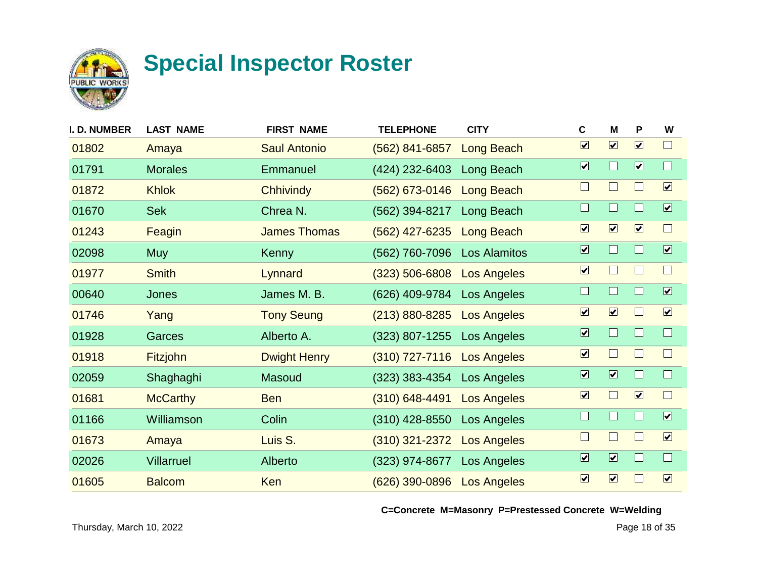

| <b>I. D. NUMBER</b> | <b>LAST NAME</b>  | <b>FIRST NAME</b>   | <b>TELEPHONE</b>   | <b>CITY</b>        | C                            | M                       | P                       | W                            |
|---------------------|-------------------|---------------------|--------------------|--------------------|------------------------------|-------------------------|-------------------------|------------------------------|
| 01802               | Amaya             | <b>Saul Antonio</b> | $(562)$ 841-6857   | Long Beach         | $\boxed{\blacktriangledown}$ | $\boxed{\mathbf{v}}$    | $\boxed{\mathbf{v}}$    | $\Box$                       |
| 01791               | <b>Morales</b>    | Emmanuel            | (424) 232-6403     | Long Beach         | $\overline{\mathbf{v}}$      | $\Box$                  | $\overline{\mathbf{v}}$ | $\Box$                       |
| 01872               | <b>Khlok</b>      | <b>Chhivindy</b>    | $(562)$ 673-0146   | Long Beach         | $\Box$                       | $\Box$                  | $\mathbf{I}$            | $\boxed{\mathbf{v}}$         |
| 01670               | <b>Sek</b>        | Chrea N.            | (562) 394-8217     | Long Beach         | $\Box$                       | $\Box$                  |                         | $\boxed{\blacktriangledown}$ |
| 01243               | Feagin            | <b>James Thomas</b> | (562) 427-6235     | <b>Long Beach</b>  | $\boxed{\blacktriangledown}$ | $\boxed{\mathbf{v}}$    | $\boxed{\checkmark}$    | $\Box$                       |
| 02098               | <b>Muy</b>        | Kenny               | (562) 760-7096     | Los Alamitos       | $\overline{\mathbf{v}}$      | $\Box$                  |                         | $\overline{\mathbf{v}}$      |
| 01977               | <b>Smith</b>      | Lynnard             | $(323) 506 - 6808$ | <b>Los Angeles</b> | $\boxed{\mathbf{v}}$         | $\Box$                  |                         | $\Box$                       |
| 00640               | <b>Jones</b>      | James M. B.         | (626) 409-9784     | Los Angeles        | $\Box$                       | $\Box$                  |                         | $\boxed{\mathbf{v}}$         |
| 01746               | Yang              | <b>Tony Seung</b>   | $(213) 880 - 8285$ | <b>Los Angeles</b> | $\overline{\mathbf{v}}$      | $\boxed{\mathbf{v}}$    |                         | $\boxed{\checkmark}$         |
| 01928               | Garces            | Alberto A.          | $(323)$ 807-1255   | Los Angeles        | $\overline{\mathbf{v}}$      | $\Box$                  | H.                      | $\Box$                       |
| 01918               | <b>Fitzjohn</b>   | <b>Dwight Henry</b> | $(310)$ 727-7116   | <b>Los Angeles</b> | $\overline{\mathbf{v}}$      | $\Box$                  |                         | $\Box$                       |
| 02059               | Shaghaghi         | Masoud              | $(323)$ 383-4354   | Los Angeles        | $\overline{\mathbf{v}}$      | $\overline{\mathbf{v}}$ |                         | $\Box$                       |
| 01681               | <b>McCarthy</b>   | <b>Ben</b>          | $(310) 648 - 4491$ | <b>Los Angeles</b> | $\overline{\mathbf{v}}$      | $\Box$                  | $\boxed{\mathbf{v}}$    | $\Box$                       |
| 01166               | Williamson        | Colin               | $(310)$ 428-8550   | <b>Los Angeles</b> | $\Box$                       | $\mathbf{I}$            |                         | $\overline{\mathbf{v}}$      |
| 01673               | Amaya             | Luis S.             | $(310)$ 321-2372   | <b>Los Angeles</b> | $\Box$                       | $\Box$                  |                         | $\boxed{\mathbf{v}}$         |
| 02026               | <b>Villarruel</b> | Alberto             | (323) 974-8677     | Los Angeles        | $\overline{\mathbf{v}}$      | $\overline{\mathbf{v}}$ |                         | $\Box$                       |
| 01605               | <b>Balcom</b>     | Ken                 | $(626)$ 390-0896   | <b>Los Angeles</b> | $\boxed{\mathbf{v}}$         | $\boxed{\mathbf{v}}$    |                         | $\boxed{\mathbf{v}}$         |
|                     |                   |                     |                    |                    |                              |                         |                         |                              |

**C=Concrete M=Masonry P=Prestessed Concrete W=Welding**

Thursday, March 10, 2022 Page 18 of 35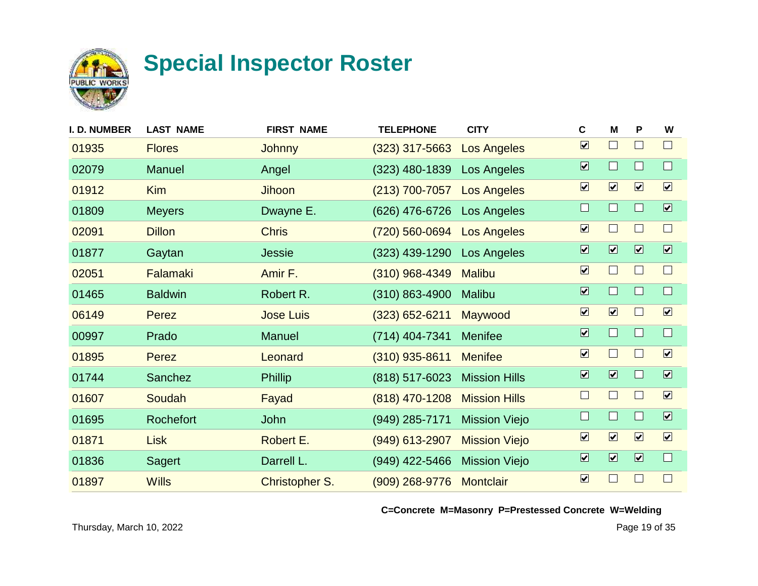

| <b>I. D. NUMBER</b> | <b>LAST NAME</b> | <b>FIRST NAME</b>     | <b>TELEPHONE</b>   | <b>CITY</b>          | $\mathbf c$                  | M                            | P                            | W                       |
|---------------------|------------------|-----------------------|--------------------|----------------------|------------------------------|------------------------------|------------------------------|-------------------------|
| 01935               | <b>Flores</b>    | <b>Johnny</b>         | $(323)$ 317-5663   | <b>Los Angeles</b>   | $\overline{\mathbf{v}}$      | $\Box$                       | $\Box$                       | $\Box$                  |
| 02079               | <b>Manuel</b>    | Angel                 | $(323)$ 480-1839   | Los Angeles          | $\overline{\mathbf{v}}$      | $\Box$                       |                              | $\Box$                  |
| 01912               | <b>Kim</b>       | Jihoon                | $(213)$ 700-7057   | <b>Los Angeles</b>   | $\boxed{\blacktriangledown}$ | $\boxed{\mathbf{v}}$         | $\boxed{\mathbf{v}}$         | $\boxed{\checkmark}$    |
| 01809               | <b>Meyers</b>    | Dwayne E.             | (626) 476-6726     | <b>Los Angeles</b>   | $\Box$                       | $\Box$                       | П                            | $\overline{\mathbf{v}}$ |
| 02091               | <b>Dillon</b>    | <b>Chris</b>          | (720) 560-0694     | <b>Los Angeles</b>   | $\boxed{\blacktriangledown}$ | $\Box$                       |                              | $\Box$                  |
| 01877               | Gaytan           | <b>Jessie</b>         | $(323)$ 439-1290   | <b>Los Angeles</b>   | $\boxed{\blacktriangledown}$ | $\boxed{\blacktriangledown}$ | $\overline{\mathbf{v}}$      | $\overline{\mathbf{v}}$ |
| 02051               | Falamaki         | Amir F.               | $(310)$ 968-4349   | <b>Malibu</b>        | $\boxed{\blacktriangledown}$ | $\Box$                       | $\mathsf{L}$                 | $\Box$                  |
| 01465               | <b>Baldwin</b>   | Robert R.             | $(310) 863 - 4900$ | <b>Malibu</b>        | $\overline{\mathbf{v}}$      | $\Box$                       |                              | $\Box$                  |
| 06149               | Perez            | <b>Jose Luis</b>      | $(323)$ 652-6211   | Maywood              | $\boxed{\mathbf{v}}$         | $\boxed{\mathbf{v}}$         |                              | $\boxed{\checkmark}$    |
| 00997               | Prado            | <b>Manuel</b>         | (714) 404-7341     | <b>Menifee</b>       | $\overline{\mathbf{v}}$      | $\Box$                       | $\Box$                       | $\Box$                  |
| 01895               | Perez            | Leonard               | $(310)$ 935-8611   | <b>Menifee</b>       | $\boxed{\blacktriangledown}$ | $\Box$                       | П                            | $\boxed{\mathbf{v}}$    |
| 01744               | Sanchez          | <b>Phillip</b>        | (818) 517-6023     | <b>Mission Hills</b> | $\overline{\mathbf{v}}$      | $\overline{\mathbf{v}}$      |                              | $\boxed{\mathbf{v}}$    |
| 01607               | Soudah           | Fayad                 | (818) 470-1208     | <b>Mission Hills</b> | $\Box$                       | $\Box$                       | $\mathbb{R}^2$               | $\boxed{\mathbf{v}}$    |
| 01695               | Rochefort        | <b>John</b>           | (949) 285-7171     | <b>Mission Viejo</b> | $\Box$                       | $\Box$                       |                              | $\overline{\mathbf{v}}$ |
| 01871               | <b>Lisk</b>      | Robert E.             | (949) 613-2907     | <b>Mission Viejo</b> | $\boxed{\blacktriangledown}$ | $\boxed{\mathbf{v}}$         | $\boxed{\mathbf{v}}$         | $\boxed{\mathbf{v}}$    |
| 01836               | <b>Sagert</b>    | Darrell L.            | (949) 422-5466     | <b>Mission Viejo</b> | $\overline{\mathbf{v}}$      | $\boxed{\blacktriangledown}$ | $\boxed{\blacktriangledown}$ | $\Box$                  |
| 01897               | <b>Wills</b>     | <b>Christopher S.</b> | $(909)$ 268-9776   | <b>Montclair</b>     | $\boxed{\blacktriangledown}$ | $\Box$                       |                              | $\Box$                  |
|                     |                  |                       |                    |                      |                              |                              |                              |                         |

**C=Concrete M=Masonry P=Prestessed Concrete W=Welding**

Thursday, March 10, 2022 Page 19 of 35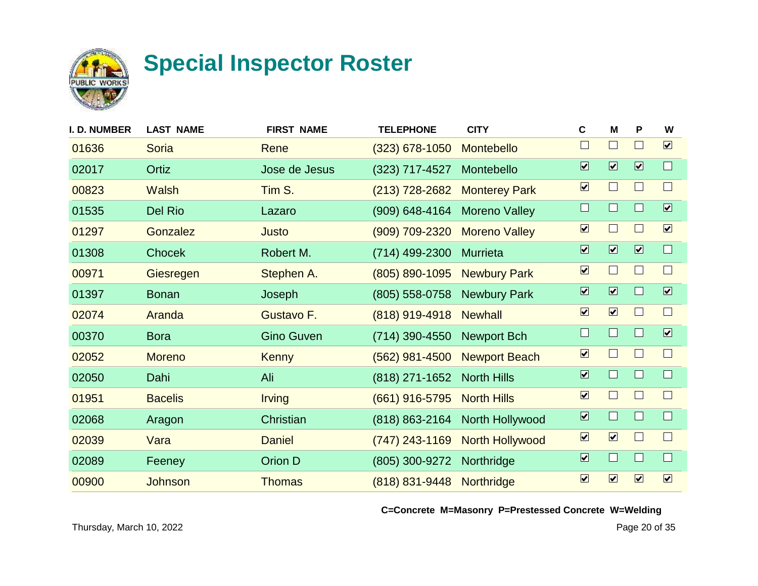

| I. D. NUMBER | <b>LAST NAME</b> | <b>FIRST NAME</b> | <b>TELEPHONE</b> | <b>CITY</b>            | C                            | M                           | P                       | W                            |
|--------------|------------------|-------------------|------------------|------------------------|------------------------------|-----------------------------|-------------------------|------------------------------|
| 01636        | <b>Soria</b>     | Rene              | $(323)$ 678-1050 | Montebello             | $\Box$                       | $\mathcal{L}_{\mathcal{A}}$ |                         | $\boxed{\mathbf{v}}$         |
| 02017        | Ortiz            | Jose de Jesus     | (323) 717-4527   | Montebello             | $\boxed{\blacktriangledown}$ | $\overline{\mathbf{v}}$     | $\overline{\mathbf{v}}$ | $\Box$                       |
| 00823        | <b>Walsh</b>     | Tim S.            | $(213)$ 728-2682 | <b>Monterey Park</b>   | $\boxed{\mathbf{v}}$         | $\Box$                      |                         | $\Box$                       |
| 01535        | Del Rio          | Lazaro            | $(909)$ 648-4164 | <b>Moreno Valley</b>   | $\Box$                       | H                           |                         | $\overline{\mathbf{v}}$      |
| 01297        | Gonzalez         | Justo             | (909) 709-2320   | <b>Moreno Valley</b>   | $\overline{\mathbf{v}}$      | ×                           |                         | $\boxed{\mathbf{v}}$         |
| 01308        | <b>Chocek</b>    | Robert M.         | (714) 499-2300   | <b>Murrieta</b>        | $\overline{\mathbf{v}}$      | $\overline{\mathbf{v}}$     | $\overline{\mathbf{v}}$ | $\Box$                       |
| 00971        | Giesregen        | Stephen A.        | (805) 890-1095   | <b>Newbury Park</b>    | $\boxed{\mathbf{v}}$         | $\Box$                      |                         | $\Box$                       |
| 01397        | <b>Bonan</b>     | Joseph            | (805) 558-0758   | <b>Newbury Park</b>    | $\overline{\mathbf{v}}$      | $\overline{\mathbf{v}}$     |                         | $\overline{\mathbf{v}}$      |
| 02074        | Aranda           | Gustavo F.        | (818) 919-4918   | <b>Newhall</b>         | $\overline{\mathbf{v}}$      | $\boxed{\mathbf{v}}$        |                         | $\Box$                       |
| 00370        | <b>Bora</b>      | <b>Gino Guven</b> | (714) 390-4550   | <b>Newport Bch</b>     | $\Box$                       | $\Box$                      | ш                       | $\boxed{\blacktriangledown}$ |
| 02052        | <b>Moreno</b>    | <b>Kenny</b>      | $(562)$ 981-4500 | <b>Newport Beach</b>   | $\overline{\mathbf{v}}$      | <b>I</b>                    |                         | $\Box$                       |
| 02050        | Dahi             | Ali               | (818) 271-1652   | <b>North Hills</b>     | $\overline{\mathbf{v}}$      | $\Box$                      |                         | $\Box$                       |
| 01951        | <b>Bacelis</b>   | <b>Irving</b>     | (661) 916-5795   | <b>North Hills</b>     | $\overline{\mathbf{v}}$      | $\Box$                      |                         | $\Box$                       |
| 02068        | Aragon           | Christian         | $(818)$ 863-2164 | North Hollywood        | $\overline{\mathbf{v}}$      | $\Box$                      |                         | $\Box$                       |
| 02039        | Vara             | <b>Daniel</b>     | $(747)$ 243-1169 | <b>North Hollywood</b> | $\boxed{\checkmark}$         | $\boxed{\mathbf{v}}$        |                         | $\Box$                       |
| 02089        | Feeney           | Orion D           | (805) 300-9272   | Northridge             | $\overline{\mathbf{v}}$      | $\Box$                      |                         | $\Box$                       |
| 00900        | Johnson          | <b>Thomas</b>     | (818) 831-9448   | Northridge             | $\boxed{\blacktriangledown}$ | $\boxed{\mathbf{v}}$        | $\boxed{\mathbf{v}}$    | $\boxed{\mathbf{v}}$         |
|              |                  |                   |                  |                        |                              |                             |                         |                              |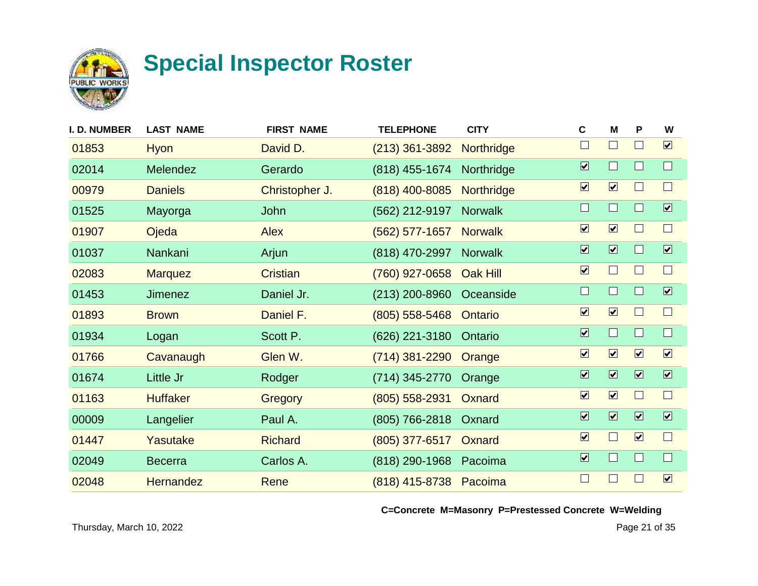

| I. D. NUMBER | <b>LAST NAME</b> | <b>FIRST NAME</b> | <b>TELEPHONE</b> | <b>CITY</b>     | $\mathbf c$                  | M                            | P                            | W                       |
|--------------|------------------|-------------------|------------------|-----------------|------------------------------|------------------------------|------------------------------|-------------------------|
| 01853        | Hyon             | David D.          | $(213)$ 361-3892 | Northridge      | $\Box$                       | $\Box$                       | $\mathbb{R}^n$               | $\boxed{\mathbf{v}}$    |
| 02014        | Melendez         | Gerardo           | (818) 455-1674   | Northridge      | $\overline{\mathbf{v}}$      | $\Box$                       |                              | $\Box$                  |
| 00979        | <b>Daniels</b>   | Christopher J.    | (818) 400-8085   | Northridge      | $\boxed{\blacktriangledown}$ | $\boxed{\mathbf{v}}$         | - 1                          | $\Box$                  |
| 01525        | Mayorga          | John              | (562) 212-9197   | <b>Norwalk</b>  | $\Box$                       | $\Box$                       |                              | $\overline{\mathbf{v}}$ |
| 01907        | Ojeda            | <b>Alex</b>       | $(562)$ 577-1657 | <b>Norwalk</b>  | $\boxed{\blacktriangledown}$ | $\boxed{\mathbf{v}}$         | $\mathsf{L}$                 | $\Box$                  |
| 01037        | Nankani          | Arjun             | (818) 470-2997   | <b>Norwalk</b>  | $\overline{\mathbf{v}}$      | $\boxed{\blacktriangledown}$ |                              | $\overline{\mathbf{v}}$ |
| 02083        | <b>Marquez</b>   | <b>Cristian</b>   | (760) 927-0658   | <b>Oak Hill</b> | $\boxed{\mathbf{v}}$         | $\Box$                       |                              | $\Box$                  |
| 01453        | <b>Jimenez</b>   | Daniel Jr.        | (213) 200-8960   | Oceanside       | $\Box$                       | $\Box$                       |                              | $\overline{\mathbf{v}}$ |
| 01893        | <b>Brown</b>     | Daniel F.         | $(805)$ 558-5468 | Ontario         | $\boxed{\blacktriangledown}$ | $\boxed{\mathbf{v}}$         | $\Box$                       | $\Box$                  |
| 01934        | Logan            | Scott P.          | (626) 221-3180   | Ontario         | $\overline{\mathbf{v}}$      | $\Box$                       | $\Box$                       | $\Box$                  |
| 01766        | Cavanaugh        | Glen W.           | $(714)$ 381-2290 | Orange          | $\boxed{\blacktriangledown}$ | $\boxed{\mathbf{v}}$         | $\boxed{\mathbf{v}}$         | $\boxed{\mathbf{v}}$    |
| 01674        | Little Jr        | Rodger            | (714) 345-2770   | Orange          | $\overline{\mathbf{v}}$      | $\overline{\mathbf{z}}$      | $\overline{\mathbf{z}}$      | $\overline{\mathbf{v}}$ |
| 01163        | <b>Huffaker</b>  | Gregory           | $(805)$ 558-2931 | Oxnard          | $\overline{\mathbf{v}}$      | $\boxed{\mathbf{v}}$         |                              | $\Box$                  |
| 00009        | Langelier        | Paul A.           | (805) 766-2818   | Oxnard          | $\overline{\mathbf{v}}$      | $\boxed{\blacktriangledown}$ | $\boxed{\blacktriangledown}$ | $\overline{\mathbf{v}}$ |
| 01447        | Yasutake         | <b>Richard</b>    | $(805)$ 377-6517 | Oxnard          | $\boxed{\blacktriangledown}$ | $\Box$                       | $\boxed{\mathbf{v}}$         | $\Box$                  |
| 02049        | <b>Becerra</b>   | Carlos A.         | (818) 290-1968   | Pacoima         | $\overline{\mathbf{v}}$      | $\Box$                       | $\Box$                       | $\Box$                  |
| 02048        | <b>Hernandez</b> | Rene              | (818) 415-8738   | Pacoima         | $\Box$                       | $\Box$                       |                              | $\boxed{\checkmark}$    |
|              |                  |                   |                  |                 |                              |                              |                              |                         |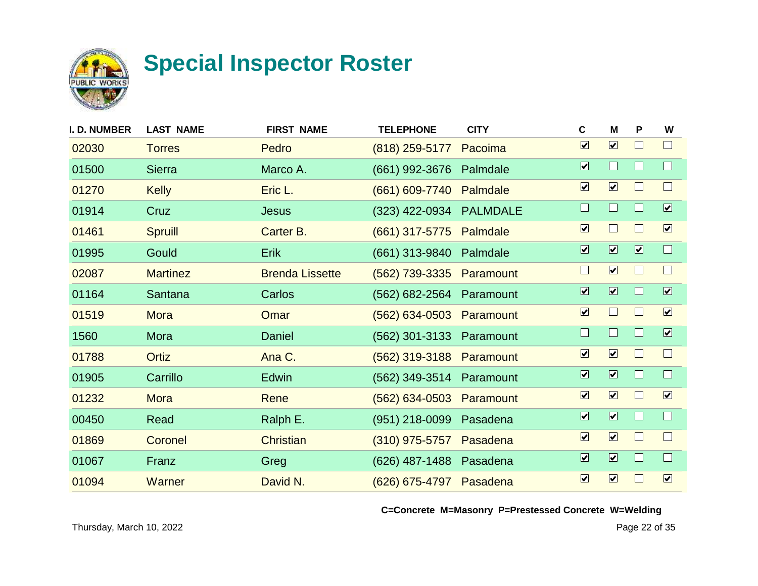

| <b>I. D. NUMBER</b> | <b>LAST NAME</b> | <b>FIRST NAME</b>      | <b>TELEPHONE</b>         | <b>CITY</b>     | C                            | M                            | P                       | W                            |
|---------------------|------------------|------------------------|--------------------------|-----------------|------------------------------|------------------------------|-------------------------|------------------------------|
| 02030               | <b>Torres</b>    | Pedro                  | $(818)$ 259-5177         | Pacoima         | $\overline{\mathbf{v}}$      | $\boxed{\mathbf{v}}$         |                         | $\Box$                       |
| 01500               | <b>Sierra</b>    | Marco A.               | (661) 992-3676           | Palmdale        | $\overline{\mathbf{v}}$      | $\Box$                       |                         | $\Box$                       |
| 01270               | <b>Kelly</b>     | Eric L.                | (661) 609-7740           | Palmdale        | $\boxed{\mathbf{v}}$         | $\boxed{\blacktriangledown}$ |                         | $\Box$                       |
| 01914               | Cruz             | <b>Jesus</b>           | (323) 422-0934           | <b>PALMDALE</b> | $\Box$                       | $\Box$                       |                         | $\boxed{\blacktriangledown}$ |
| 01461               | <b>Spruill</b>   | Carter B.              | $(661)$ 317-5775         | Palmdale        | $\overline{\mathbf{v}}$      | $\sim$                       |                         | $\boxed{\checkmark}$         |
| 01995               | Gould            | <b>Erik</b>            | (661) 313-9840           | Palmdale        | $\overline{\mathbf{v}}$      | $\overline{\mathbf{v}}$      | $\overline{\mathbf{v}}$ | $\Box$                       |
| 02087               | <b>Martinez</b>  | <b>Brenda Lissette</b> | (562) 739-3335           | Paramount       | $\Box$                       | $\boxed{\mathbf{v}}$         |                         | $\mathbf{L}$                 |
| 01164               | Santana          | Carlos                 | (562) 682-2564           | Paramount       | $\overline{\mathbf{v}}$      | $\overline{\mathbf{v}}$      |                         | $\boxed{\mathbf{v}}$         |
| 01519               | Mora             | Omar                   | (562) 634-0503 Paramount |                 | $\overline{\mathbf{v}}$      | $\Box$                       |                         | $\boxed{\checkmark}$         |
| 1560                | Mora             | Daniel                 | (562) 301-3133 Paramount |                 | $\Box$                       | H                            | H                       | $\boxed{\blacktriangledown}$ |
| 01788               | <b>Ortiz</b>     | Ana C.                 | $(562)$ 319-3188         | Paramount       | $\overline{\mathbf{v}}$      | $\boxed{\mathbf{v}}$         |                         | $\Box$                       |
| 01905               | Carrillo         | Edwin                  | (562) 349-3514           | Paramount       | $\overline{\mathbf{v}}$      | $\overline{\mathbf{v}}$      |                         | $\Box$                       |
| 01232               | <b>Mora</b>      | Rene                   | $(562)$ 634-0503         | Paramount       | $\boxed{\blacktriangledown}$ | $\boxed{\mathbf{v}}$         |                         | $\boxed{\mathbf{v}}$         |
| 00450               | Read             | Ralph E.               | (951) 218-0099           | Pasadena        | $\overline{\mathbf{v}}$      | $\overline{\mathbf{v}}$      |                         | $\Box$                       |
| 01869               | Coronel          | Christian              | $(310)$ 975-5757         | Pasadena        | $\boxed{\checkmark}$         | $\boxed{\mathbf{v}}$         |                         | $\Box$                       |
| 01067               | Franz            | Greg                   | (626) 487-1488           | Pasadena        | $\boxed{\blacktriangledown}$ | $\overline{\mathbf{v}}$      |                         | $\Box$                       |
| 01094               | <b>Warner</b>    | David N.               | (626) 675-4797 Pasadena  |                 | $\boxed{\mathbf{v}}$         | $\boxed{\mathbf{v}}$         |                         | $\boxed{\mathbf{v}}$         |
|                     |                  |                        |                          |                 |                              |                              |                         |                              |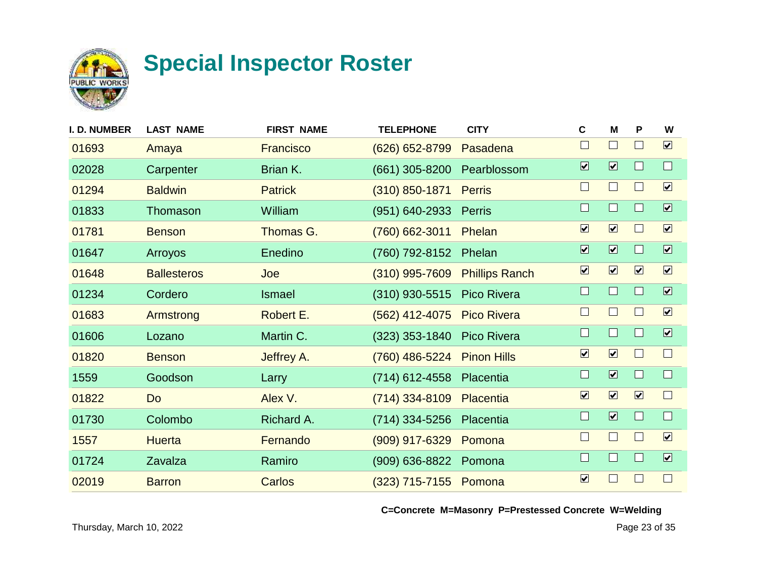

| <b>I. D. NUMBER</b> | <b>LAST NAME</b>   | <b>FIRST NAME</b> | <b>TELEPHONE</b> | <b>CITY</b>           | C                            | M                            | P                    | W                       |
|---------------------|--------------------|-------------------|------------------|-----------------------|------------------------------|------------------------------|----------------------|-------------------------|
| 01693               | Amaya              | <b>Francisco</b>  | (626) 652-8799   | Pasadena              | $\Box$                       | $\Box$                       | $\mathsf{L}$         | $\boxed{\mathbf{v}}$    |
| 02028               | Carpenter          | Brian K.          | $(661)$ 305-8200 | Pearblossom           | $\overline{\mathbf{v}}$      | $\overline{\mathbf{v}}$      |                      | $\Box$                  |
| 01294               | <b>Baldwin</b>     | <b>Patrick</b>    | $(310)$ 850-1871 | <b>Perris</b>         | $\Box$                       | $\Box$                       | $\Box$               | $\boxed{\checkmark}$    |
| 01833               | Thomason           | William           | (951) 640-2933   | Perris                | $\Box$                       | $\Box$                       | П                    | $\overline{\mathbf{v}}$ |
| 01781               | <b>Benson</b>      | Thomas G.         | (760) 662-3011   | Phelan                | $\boxed{\blacktriangledown}$ | $\boxed{\mathbf{v}}$         | $\mathsf{L}$         | $\boxed{\checkmark}$    |
| 01647               | Arroyos            | Enedino           | (760) 792-8152   | Phelan                | $\overline{\mathbf{v}}$      | $\boxed{\blacktriangledown}$ |                      | $\overline{\mathbf{v}}$ |
| 01648               | <b>Ballesteros</b> | Joe               | $(310)$ 995-7609 | <b>Phillips Ranch</b> | $\boxed{\blacktriangledown}$ | $\boxed{\mathbf{v}}$         | $\boxed{\mathbf{v}}$ | $\boxed{\checkmark}$    |
| 01234               | Cordero            | <b>Ismael</b>     | $(310)$ 930-5515 | Pico Rivera           | $\Box$                       | $\Box$                       |                      | $\boxed{\mathbf{v}}$    |
| 01683               | Armstrong          | Robert E.         | (562) 412-4075   | <b>Pico Rivera</b>    | $\Box$                       | $\Box$                       | $\mathbf{I}$         | $\boxed{\checkmark}$    |
| 01606               | Lozano             | Martin C.         | $(323)$ 353-1840 | <b>Pico Rivera</b>    | $\Box$                       | $\Box$                       | $\Box$               | $\overline{\mathbf{v}}$ |
| 01820               | <b>Benson</b>      | Jeffrey A.        | (760) 486-5224   | <b>Pinon Hills</b>    | $\boxed{\blacktriangledown}$ | $\boxed{\mathbf{v}}$         | $\mathbf{L}$         | $\Box$                  |
| 1559                | Goodson            | Larry             | (714) 612-4558   | Placentia             | $\Box$                       | $\overline{\mathbf{v}}$      |                      | $\Box$                  |
| 01822               | Do                 | Alex V.           | $(714)$ 334-8109 | Placentia             | $\overline{\mathbf{v}}$      | $\boxed{\mathbf{v}}$         | $\boxed{\mathbf{v}}$ | $\Box$                  |
| 01730               | Colombo            | Richard A.        | (714) 334-5256   | Placentia             | $\Box$                       | $\boxed{\blacktriangledown}$ |                      | $\Box$                  |
| 1557                | <b>Huerta</b>      | Fernando          | (909) 917-6329   | Pomona                | $\Box$                       | $\Box$                       | $\mathbf{L}$         | $\boxed{\checkmark}$    |
| 01724               | Zavalza            | Ramiro            | (909) 636-8822   | Pomona                | $\Box$                       | $\Box$                       | Ш                    | $\boxed{\checkmark}$    |
| 02019               | <b>Barron</b>      | Carlos            | $(323)$ 715-7155 | Pomona                | $\boxed{\blacktriangledown}$ | $\Box$                       | $\blacksquare$       | $\Box$                  |
|                     |                    |                   |                  |                       |                              |                              |                      |                         |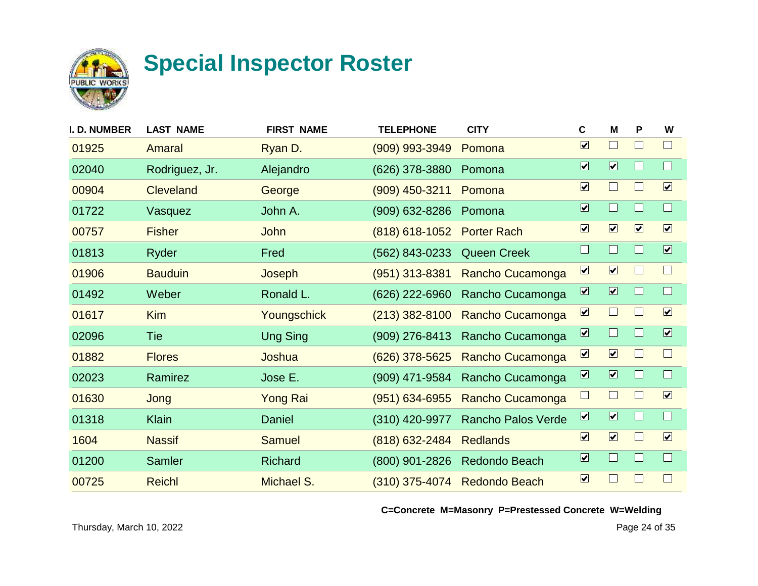

| <b>I. D. NUMBER</b> | <b>LAST NAME</b> | <b>FIRST NAME</b> | <b>TELEPHONE</b>   | <b>CITY</b>          | $\mathbf c$                  | M                            | P                    | W                       |
|---------------------|------------------|-------------------|--------------------|----------------------|------------------------------|------------------------------|----------------------|-------------------------|
| 01925               | Amaral           | Ryan D.           | (909) 993-3949     | Pomona               | $\overline{\mathbf{v}}$      | $\Box$                       | $\mathsf{L}$         | $\Box$                  |
| 02040               | Rodriguez, Jr.   | Alejandro         | (626) 378-3880     | Pomona               | $\overline{\mathbf{v}}$      | $\boxed{\blacktriangledown}$ |                      | $\Box$                  |
| 00904               | <b>Cleveland</b> | George            | (909) 450-3211     | Pomona               | $\boxed{\blacktriangledown}$ | $\Box$                       | $\Box$               | $\boxed{\checkmark}$    |
| 01722               | Vasquez          | John A.           | (909) 632-8286     | Pomona               | $\overline{\mathbf{v}}$      | $\Box$                       |                      | $\Box$                  |
| 00757               | <b>Fisher</b>    | John              | $(818)$ 618-1052   | <b>Porter Rach</b>   | $\boxed{\blacktriangledown}$ | $\boxed{\mathbf{v}}$         | $\boxed{\mathbf{v}}$ | $\boxed{\checkmark}$    |
| 01813               | Ryder            | Fred              | (562) 843-0233     | <b>Queen Creek</b>   | $\Box$                       | $\Box$                       |                      | $\overline{\mathbf{v}}$ |
| 01906               | <b>Bauduin</b>   | Joseph            | $(951)$ 313-8381   | Rancho Cucamonga     | $\boxed{\mathbf{v}}$         | $\boxed{\mathbf{v}}$         |                      | $\Box$                  |
| 01492               | Weber            | Ronald L.         | (626) 222-6960     | Rancho Cucamonga     | $\overline{\mathbf{v}}$      | $\boxed{\blacktriangledown}$ |                      | $\Box$                  |
| 01617               | <b>Kim</b>       | Youngschick       | $(213)$ 382-8100   | Rancho Cucamonga     | $\boxed{\blacktriangledown}$ | $\Box$                       |                      | $\boxed{\checkmark}$    |
| 02096               | Tie              | <b>Ung Sing</b>   | (909) 276-8413     | Rancho Cucamonga     | $\overline{\mathbf{z}}$      | $\Box$                       |                      | $\overline{\mathbf{v}}$ |
| 01882               | <b>Flores</b>    | Joshua            | $(626)$ 378-5625   | Rancho Cucamonga     | $\boxed{\mathbf{z}}$         | $\overline{\mathbf{v}}$      | $\blacksquare$       | $\Box$                  |
| 02023               | Ramirez          | Jose E.           | (909) 471-9584     | Rancho Cucamonga     | $\overline{\mathbf{v}}$      | $\overline{\mathbf{v}}$      |                      | $\Box$                  |
| 01630               | Jong             | <b>Yong Rai</b>   | $(951) 634 - 6955$ | Rancho Cucamonga     | $\Box$                       | $\Box$                       |                      | $\overline{\mathbf{v}}$ |
| 01318               | <b>Klain</b>     | Daniel            | (310) 420-9977     | Rancho Palos Verde   | $\overline{\mathbf{v}}$      | $\boxed{\blacktriangledown}$ |                      | $\Box$                  |
| 1604                | <b>Nassif</b>    | <b>Samuel</b>     | (818) 632-2484     | <b>Redlands</b>      | $\boxed{\blacktriangledown}$ | $\boxed{\mathbf{v}}$         | ш                    | $\boxed{\checkmark}$    |
| 01200               | Samler           | <b>Richard</b>    | (800) 901-2826     | Redondo Beach        | $\boxed{\mathbf{v}}$         | $\Box$                       |                      | $\Box$                  |
| 00725               | <b>Reichl</b>    | Michael S.        | $(310)$ 375-4074   | <b>Redondo Beach</b> | $\boxed{\blacktriangledown}$ | $\Box$                       |                      | $\Box$                  |
|                     |                  |                   |                    |                      |                              |                              |                      |                         |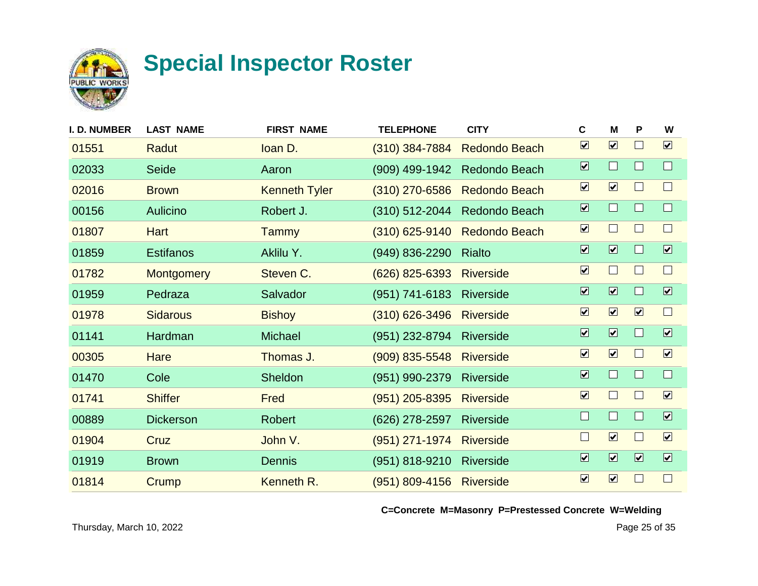

| <b>I. D. NUMBER</b> | <b>LAST NAME</b>  | <b>FIRST NAME</b>    | <b>TELEPHONE</b>   | <b>CITY</b>          | C                            | M                            | P                       | W                            |
|---------------------|-------------------|----------------------|--------------------|----------------------|------------------------------|------------------------------|-------------------------|------------------------------|
| 01551               | Radut             | loan D.              | $(310)$ 384-7884   | <b>Redondo Beach</b> | $\boxed{\mathbf{v}}$         | $\boxed{\mathbf{v}}$         |                         | $\boxed{\mathbf{v}}$         |
| 02033               | Seide             | Aaron                | (909) 499-1942     | Redondo Beach        | $\overline{\mathbf{v}}$      | $\Box$                       |                         | $\Box$                       |
| 02016               | <b>Brown</b>      | <b>Kenneth Tyler</b> | $(310)$ 270-6586   | <b>Redondo Beach</b> | $\boxed{\mathbf{v}}$         | $\boxed{\mathbf{v}}$         |                         | $\Box$                       |
| 00156               | Aulicino          | Robert J.            | $(310)$ 512-2044   | Redondo Beach        | $\overline{\mathbf{v}}$      | $\Box$                       |                         | $\Box$                       |
| 01807               | <b>Hart</b>       | <b>Tammy</b>         | $(310)$ 625-9140   | <b>Redondo Beach</b> | $\boxed{\blacktriangledown}$ | $\Box$                       |                         | $\Box$                       |
| 01859               | <b>Estifanos</b>  | Aklilu Y.            | (949) 836-2290     | Rialto               | $\overline{\mathbf{v}}$      | $\overline{\mathbf{v}}$      |                         | $\overline{\mathbf{v}}$      |
| 01782               | <b>Montgomery</b> | Steven C.            | $(626)$ 825-6393   | <b>Riverside</b>     | $\boxed{\mathbf{v}}$         | $\Box$                       |                         | $\Box$                       |
| 01959               | Pedraza           | Salvador             | (951) 741-6183     | <b>Riverside</b>     | $\overline{\mathbf{v}}$      | $\overline{\mathbf{v}}$      |                         | $\boxed{\mathbf{v}}$         |
| 01978               | <b>Sidarous</b>   | <b>Bishoy</b>        | $(310)$ 626-3496   | <b>Riverside</b>     | $\overline{\mathbf{v}}$      | $\boxed{\mathbf{v}}$         | $\boxed{\mathbf{v}}$    | $\Box$                       |
| 01141               | Hardman           | <b>Michael</b>       | (951) 232-8794     | <b>Riverside</b>     | $\overline{\mathbf{v}}$      | $\boxed{\blacktriangledown}$ | ш                       | $\boxed{\blacktriangledown}$ |
| 00305               | Hare              | Thomas J.            | $(909)$ 835-5548   | <b>Riverside</b>     | $\overline{\mathbf{v}}$      | $\boxed{\mathbf{v}}$         | ш                       | $\boxed{\mathbf{v}}$         |
| 01470               | Cole              | Sheldon              | (951) 990-2379     | <b>Riverside</b>     | $\overline{\mathbf{v}}$      | $\Box$                       |                         | $\Box$                       |
| 01741               | <b>Shiffer</b>    | Fred                 | $(951)$ 205-8395   | <b>Riverside</b>     | $\overline{\mathbf{v}}$      | $\Box$                       |                         | $\boxed{\mathbf{v}}$         |
| 00889               | <b>Dickerson</b>  | <b>Robert</b>        | (626) 278-2597     | <b>Riverside</b>     | $\Box$                       | H                            |                         | $\overline{\mathbf{v}}$      |
| 01904               | Cruz              | John V.              | $(951)$ 271-1974   | <b>Riverside</b>     | $\Box$                       | $\boxed{\mathbf{v}}$         |                         | $\boxed{\mathbf{v}}$         |
| 01919               | <b>Brown</b>      | <b>Dennis</b>        | (951) 818-9210     | <b>Riverside</b>     | $\boxed{\blacktriangledown}$ | $\overline{\mathbf{v}}$      | $\overline{\mathbf{v}}$ | $\boxed{\blacktriangledown}$ |
| 01814               | Crump             | Kenneth R.           | $(951) 809 - 4156$ | <b>Riverside</b>     | $\boxed{\mathbf{v}}$         | $\boxed{\mathbf{v}}$         |                         | $\Box$                       |
|                     |                   |                      |                    |                      |                              |                              |                         |                              |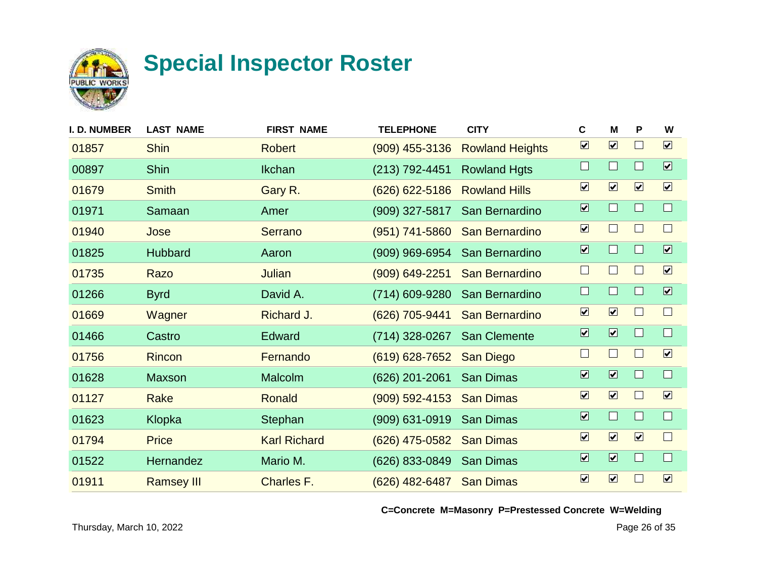

| I. D. NUMBER | <b>LAST NAME</b>  | <b>FIRST NAME</b>   | <b>TELEPHONE</b>   | <b>CITY</b>            | C                            | M                            | P                    | W                            |
|--------------|-------------------|---------------------|--------------------|------------------------|------------------------------|------------------------------|----------------------|------------------------------|
| 01857        | <b>Shin</b>       | <b>Robert</b>       | $(909)$ 455-3136   | <b>Rowland Heights</b> | $\overline{\mathbf{v}}$      | $\boxed{\mathbf{v}}$         |                      | $\boxed{\mathbf{v}}$         |
| 00897        | <b>Shin</b>       | <b>Ikchan</b>       | (213) 792-4451     | <b>Rowland Hgts</b>    | $\Box$                       | $\Box$                       | H                    | $\boxed{\blacktriangledown}$ |
| 01679        | <b>Smith</b>      | Gary R.             | $(626) 622 - 5186$ | <b>Rowland Hills</b>   | $\boxed{\mathbf{v}}$         | $\boxed{\blacktriangledown}$ | $\boxed{\mathbf{v}}$ | $\boxed{\mathbf{v}}$         |
| 01971        | Samaan            | Amer                | $(909)$ 327-5817   | San Bernardino         | $\overline{\mathbf{v}}$      | $\Box$                       |                      | $\Box$                       |
| 01940        | Jose              | Serrano             | (951) 741-5860     | San Bernardino         | $\overline{\mathbf{v}}$      | $\Box$                       |                      | $\Box$                       |
| 01825        | <b>Hubbard</b>    | Aaron               | (909) 969-6954     | San Bernardino         | $\overline{\mathbf{v}}$      | $\Box$                       |                      | $\overline{\mathbf{v}}$      |
| 01735        | Razo              | <b>Julian</b>       | (909) 649-2251     | San Bernardino         | $\Box$                       | $\Box$                       |                      | $\boxed{\checkmark}$         |
| 01266        | <b>Byrd</b>       | David A.            | (714) 609-9280     | San Bernardino         | $\Box$                       | $\Box$                       |                      | $\overline{\mathbf{v}}$      |
| 01669        | Wagner            | Richard J.          | (626) 705-9441     | San Bernardino         | $\overline{\mathbf{v}}$      | $\boxed{\mathbf{v}}$         |                      | $\Box$                       |
| 01466        | Castro            | Edward              | (714) 328-0267     | San Clemente           | $\overline{\mathbf{v}}$      | $\overline{\mathbf{v}}$      | ш                    | $\Box$                       |
| 01756        | <b>Rincon</b>     | Fernando            | $(619) 628 - 7652$ | San Diego              | $\Box$                       | $\Box$                       | $\mathbf{I}$         | $\boxed{\mathbf{v}}$         |
| 01628        | Maxson            | Malcolm             | $(626)$ 201-2061   | <b>San Dimas</b>       | $\overline{\mathbf{v}}$      | $\overline{\mathbf{z}}$      |                      | $\Box$                       |
| 01127        | Rake              | Ronald              | $(909) 592 - 4153$ | <b>San Dimas</b>       | $\overline{\mathbf{v}}$      | $\boxed{\mathbf{v}}$         |                      | $\boxed{\mathbf{v}}$         |
| 01623        | Klopka            | Stephan             | $(909)$ 631-0919   | <b>San Dimas</b>       | $\overline{\mathbf{v}}$      | $\Box$                       |                      | $\Box$                       |
| 01794        | <b>Price</b>      | <b>Karl Richard</b> | (626) 475-0582     | <b>San Dimas</b>       | $\boxed{\checkmark}$         | $\boxed{\mathbf{v}}$         | $\boxed{\mathbf{v}}$ | $\Box$                       |
| 01522        | Hernandez         | Mario M.            | (626) 833-0849     | <b>San Dimas</b>       | $\overline{\mathbf{v}}$      | $\overline{\mathbf{v}}$      |                      | $\Box$                       |
| 01911        | <b>Ramsey III</b> | Charles F.          | (626) 482-6487     | <b>San Dimas</b>       | $\boxed{\blacktriangledown}$ | $\boxed{\mathbf{v}}$         |                      | $\boxed{\mathbf{v}}$         |
|              |                   |                     |                    |                        |                              |                              |                      |                              |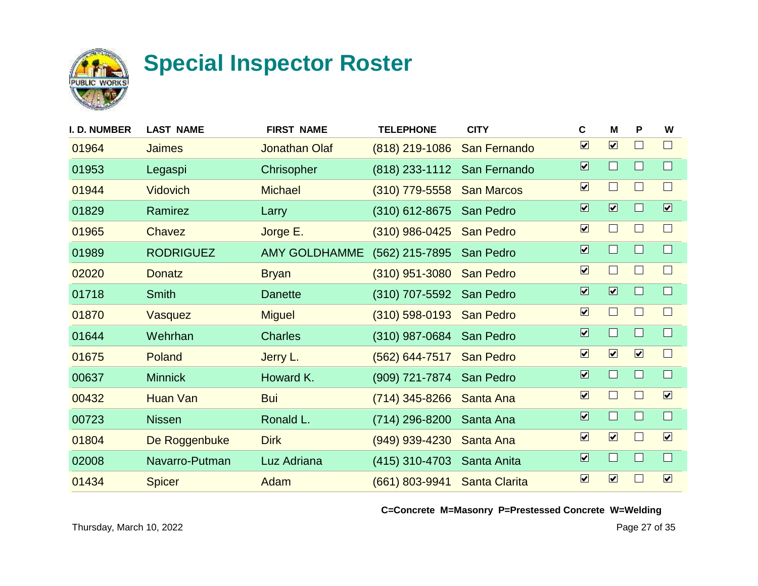

| <b>I. D. NUMBER</b> | <b>LAST NAME</b> | <b>FIRST NAME</b>    | <b>TELEPHONE</b>         | <b>CITY</b>          | C                            | м                            | P                    | W                       |
|---------------------|------------------|----------------------|--------------------------|----------------------|------------------------------|------------------------------|----------------------|-------------------------|
| 01964               | <b>Jaimes</b>    | <b>Jonathan Olaf</b> | $(818)$ 219-1086         | San Fernando         | $\overline{\mathbf{v}}$      | $\boxed{\mathbf{v}}$         |                      | $\Box$                  |
| 01953               | Legaspi          | Chrisopher           | $(818)$ 233-1112         | San Fernando         | $\overline{\mathbf{v}}$      | $\Box$                       |                      | $\Box$                  |
| 01944               | <b>Vidovich</b>  | <b>Michael</b>       | $(310)$ 779-5558         | <b>San Marcos</b>    | $\boxed{\blacktriangledown}$ | $\Box$                       | L                    | $\Box$                  |
| 01829               | Ramirez          | Larry                | $(310)$ 612-8675         | San Pedro            | $\overline{\mathbf{v}}$      | $\overline{\mathbf{v}}$      |                      | $\overline{\mathbf{v}}$ |
| 01965               | Chavez           | Jorge E.             | $(310)$ 986-0425         | <b>San Pedro</b>     | $\overline{\mathbf{v}}$      | $\sqcup$                     |                      | $\Box$                  |
| 01989               | <b>RODRIGUEZ</b> | <b>AMY GOLDHAMME</b> | (562) 215-7895           | San Pedro            | $\overline{\mathbf{v}}$      | $\Box$                       |                      | $\Box$                  |
| 02020               | <b>Donatz</b>    | <b>Bryan</b>         | $(310)$ 951-3080         | <b>San Pedro</b>     | $\boxed{\blacktriangledown}$ | $\mathbb{R}^n$               |                      | $\Box$                  |
| 01718               | <b>Smith</b>     | <b>Danette</b>       | (310) 707-5592           | San Pedro            | $\overline{\mathbf{v}}$      | $\overline{\mathbf{v}}$      |                      | $\Box$                  |
| 01870               | Vasquez          | <b>Miguel</b>        | (310) 598-0193 San Pedro |                      | $\overline{\mathbf{v}}$      | $\Box$                       |                      | $\Box$                  |
| 01644               | Wehrhan          | <b>Charles</b>       | (310) 987-0684           | San Pedro            | $\overline{\mathbf{v}}$      | $\Box$                       | ш                    | $\Box$                  |
| 01675               | Poland           | Jerry L.             | $(562) 644 - 7517$       | <b>San Pedro</b>     | $\overline{\mathbf{v}}$      | $\boxed{\mathbf{v}}$         | $\boxed{\mathbf{v}}$ | $\Box$                  |
| 00637               | <b>Minnick</b>   | Howard K.            | (909) 721-7874           | San Pedro            | $\overline{\mathbf{v}}$      | $\Box$                       |                      | $\Box$                  |
| 00432               | Huan Van         | <b>Bui</b>           | (714) 345-8266           | Santa Ana            | $\overline{\mathbf{v}}$      | $\Box$                       |                      | $\boxed{\mathbf{v}}$    |
| 00723               | <b>Nissen</b>    | Ronald L.            | (714) 296-8200           | Santa Ana            | $\overline{\mathbf{v}}$      | $\Box$                       |                      | $\Box$                  |
| 01804               | De Roggenbuke    | <b>Dirk</b>          | (949) 939-4230           | Santa Ana            | $\boxed{\checkmark}$         | $\boxed{\blacktriangledown}$ |                      | $\boxed{\mathbf{v}}$    |
| 02008               | Navarro-Putman   | Luz Adriana          | (415) 310-4703           | Santa Anita          | $\overline{\mathbf{v}}$      | $\Box$                       |                      | $\Box$                  |
| 01434               | <b>Spicer</b>    | Adam                 | (661) 803-9941           | <b>Santa Clarita</b> | $\boxed{\checkmark}$         | $\boxed{\blacktriangledown}$ |                      | $\boxed{\mathbf{v}}$    |
|                     |                  |                      |                          |                      |                              |                              |                      |                         |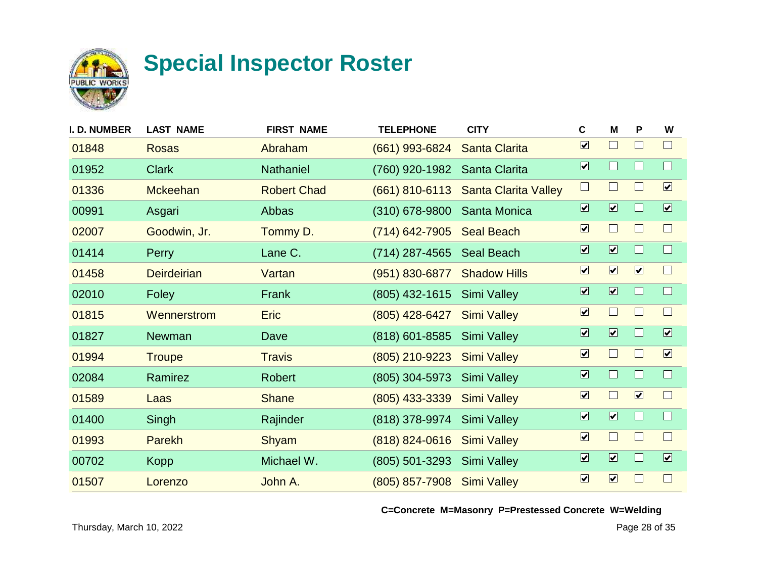

| <b>I. D. NUMBER</b> | <b>LAST NAME</b>   | <b>FIRST NAME</b>  | <b>TELEPHONE</b>   | <b>CITY</b>                 | C                            | M                            | P                    | W                            |
|---------------------|--------------------|--------------------|--------------------|-----------------------------|------------------------------|------------------------------|----------------------|------------------------------|
| 01848               | <b>Rosas</b>       | Abraham            | (661) 993-6824     | <b>Santa Clarita</b>        | $\overline{\mathbf{v}}$      | $\Box$                       |                      | $\Box$                       |
| 01952               | <b>Clark</b>       | <b>Nathaniel</b>   | (760) 920-1982     | Santa Clarita               | $\overline{\mathbf{v}}$      | $\Box$                       |                      | $\Box$                       |
| 01336               | <b>Mckeehan</b>    | <b>Robert Chad</b> | $(661)$ 810-6113   | <b>Santa Clarita Valley</b> | $\Box$                       | $\mathbf{I}$                 | I.                   | $\boxed{\mathbf{v}}$         |
| 00991               | Asgari             | Abbas              | (310) 678-9800     | Santa Monica                | $\overline{\mathbf{v}}$      | $\overline{\mathbf{v}}$      |                      | $\overline{\mathbf{v}}$      |
| 02007               | Goodwin, Jr.       | Tommy D.           | $(714) 642 - 7905$ | <b>Seal Beach</b>           | $\boxed{\blacktriangledown}$ | $\Box$                       |                      | $\Box$                       |
| 01414               | <b>Perry</b>       | Lane C.            | (714) 287-4565     | Seal Beach                  | $\overline{\mathbf{v}}$      | $\overline{\mathbf{v}}$      |                      | $\Box$                       |
| 01458               | <b>Deirdeirian</b> | Vartan             | (951) 830-6877     | <b>Shadow Hills</b>         | $\boxed{\blacktriangledown}$ | $\boxed{\mathbf{v}}$         | $\boxed{\mathbf{v}}$ | $\Box$                       |
| 02010               | Foley              | Frank              | (805) 432-1615     | <b>Simi Valley</b>          | $\overline{\mathbf{v}}$      | $\boxed{\blacktriangledown}$ |                      | $\Box$                       |
| 01815               | Wennerstrom        | <b>Eric</b>        | (805) 428-6427     | <b>Simi Valley</b>          | $\overline{\mathbf{v}}$      | $\Box$                       |                      | $\Box$                       |
| 01827               | <b>Newman</b>      | Dave               | (818) 601-8585     | <b>Simi Valley</b>          | $\overline{\mathbf{v}}$      | $\overline{\mathbf{v}}$      | H                    | $\boxed{\blacktriangledown}$ |
| 01994               | <b>Troupe</b>      | <b>Travis</b>      | (805) 210-9223     | <b>Simi Valley</b>          | $\overline{\mathbf{v}}$      | $\Box$                       | $\mathbf{L}$         | $\boxed{\mathbf{v}}$         |
| 02084               | Ramirez            | <b>Robert</b>      | (805) 304-5973     | <b>Simi Valley</b>          | $\overline{\mathbf{v}}$      | $\Box$                       |                      | $\Box$                       |
| 01589               | Laas               | <b>Shane</b>       | $(805)$ 433-3339   | <b>Simi Valley</b>          | $\overline{\mathbf{v}}$      | $\Box$                       | $\boxed{\mathbf{v}}$ | $\Box$                       |
| 01400               | Singh              | Rajinder           | (818) 378-9974     | <b>Simi Valley</b>          | $\overline{\mathbf{v}}$      | $\overline{\mathbf{v}}$      |                      | $\Box$                       |
| 01993               | <b>Parekh</b>      | Shyam              | $(818) 824 - 0616$ | <b>Simi Valley</b>          | $\boxed{\checkmark}$         | $\Box$                       |                      | $\Box$                       |
| 00702               | <b>Kopp</b>        | Michael W.         | (805) 501-3293     | <b>Simi Valley</b>          | $\overline{\mathbf{v}}$      | $\overline{\mathbf{v}}$      |                      | $\overline{\mathbf{v}}$      |
| 01507               | Lorenzo            | John A.            | $(805)$ 857-7908   | <b>Simi Valley</b>          | $\boxed{\blacktriangledown}$ | $\boxed{\mathbf{v}}$         |                      | $\Box$                       |
|                     |                    |                    |                    |                             |                              |                              |                      |                              |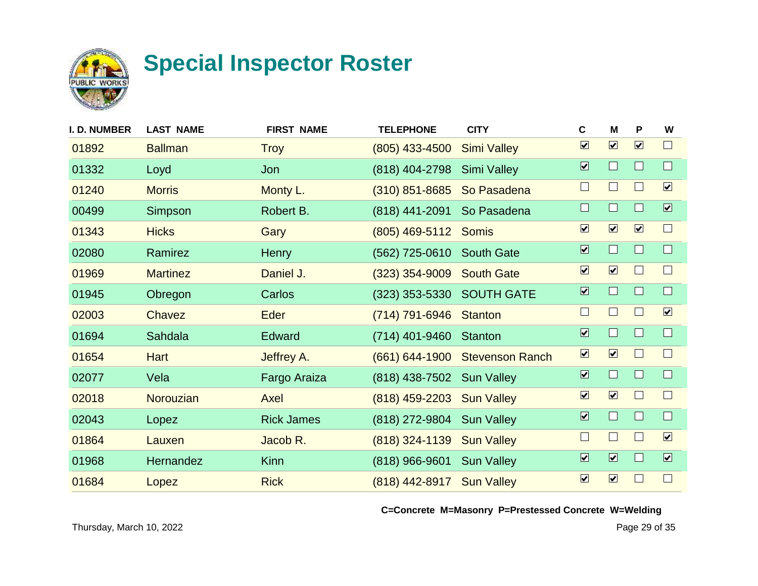

| I. D. NUMBER | <b>LAST NAME</b> | <b>FIRST NAME</b> | <b>TELEPHONE</b>          | <b>CITY</b>            | $\mathbf c$                  | M                            | P                            | W                       |
|--------------|------------------|-------------------|---------------------------|------------------------|------------------------------|------------------------------|------------------------------|-------------------------|
| 01892        | <b>Ballman</b>   | <b>Troy</b>       | $(805)$ 433-4500          | <b>Simi Valley</b>     | $\boxed{\mathbf{v}}$         | $\overline{\mathbf{v}}$      | $\boxed{\mathbf{v}}$         | $\Box$                  |
| 01332        | Loyd             | Jon               | (818) 404-2798            | <b>Simi Valley</b>     | $\overline{\mathbf{v}}$      | $\Box$                       | $\Box$                       | $\Box$                  |
| 01240        | <b>Morris</b>    | Monty L.          | $(310)$ 851-8685          | So Pasadena            | $\Box$                       | $\Box$                       | $\Box$                       | $\boxed{\checkmark}$    |
| 00499        | Simpson          | Robert B.         | (818) 441-2091            | So Pasadena            | $\Box$                       | $\Box$                       | $\Box$                       | $\overline{\mathbf{v}}$ |
| 01343        | <b>Hicks</b>     | Gary              | (805) 469-5112 Somis      |                        | $\boxed{\blacktriangledown}$ | $\boxed{\mathbf{v}}$         | $\boxed{\blacktriangledown}$ | $\Box$                  |
| 02080        | Ramirez          | Henry             | (562) 725-0610            | <b>South Gate</b>      | $\overline{\mathbf{v}}$      | $\Box$                       | $\Box$                       | $\Box$                  |
| 01969        | <b>Martinez</b>  | Daniel J.         | $(323)$ 354-9009          | <b>South Gate</b>      | $\boxed{\checkmark}$         | $\boxed{\checkmark}$         | $\mathbf{L}$                 | $\Box$                  |
| 01945        | Obregon          | Carlos            | (323) 353-5330 SOUTH GATE |                        | $\overline{\mathbf{v}}$      | $\Box$                       | $\Box$                       | $\Box$                  |
| 02003        | Chavez           | Eder              | (714) 791-6946            | <b>Stanton</b>         | $\Box$                       | $\Box$                       | $\Box$                       | $\boxed{\checkmark}$    |
| 01694        | Sahdala          | Edward            | (714) 401-9460            | <b>Stanton</b>         | $\overline{\mathbf{v}}$      | $\Box$                       | $\Box$                       | $\Box$                  |
| 01654        | <b>Hart</b>      | Jeffrey A.        | $(661) 644 - 1900$        | <b>Stevenson Ranch</b> | $\boxed{\blacktriangledown}$ | $\boxed{\blacktriangledown}$ | $\mathbb{R}^n$               | $\Box$                  |
| 02077        | Vela             | Fargo Araiza      | (818) 438-7502            | <b>Sun Valley</b>      | $\overline{\mathbf{v}}$      | $\Box$                       | $\Box$                       | $\Box$                  |
| 02018        | Norouzian        | Axel              | $(818)$ 459-2203          | <b>Sun Valley</b>      | $\overline{\mathbf{v}}$      | $\boxed{\blacktriangledown}$ |                              | $\Box$                  |
| 02043        | Lopez            | <b>Rick James</b> | (818) 272-9804 Sun Valley |                        | $\overline{\mathbf{v}}$      | $\Box$                       | $\Box$                       | $\Box$                  |
| 01864        | Lauxen           | Jacob R.          | $(818)$ 324-1139          | <b>Sun Valley</b>      | $\Box$                       | $\Box$                       | $\Box$                       | $\boxed{\mathbf{v}}$    |
| 01968        | Hernandez        | <b>Kinn</b>       | (818) 966-9601            | <b>Sun Valley</b>      | $\overline{\mathbf{v}}$      | $\overline{\mathbf{v}}$      | $\Box$                       | $\overline{\mathbf{v}}$ |
| 01684        | Lopez            | <b>Rick</b>       | (818) 442-8917 Sun Valley |                        | $\boxed{\blacktriangledown}$ | $\boxed{\checkmark}$         | $\Box$                       | $\Box$                  |
|              |                  |                   |                           |                        |                              |                              |                              |                         |

**C=Concrete M=Masonry P=Prestessed Concrete W=Welding**

Thursday, March 10, 2022 2001 35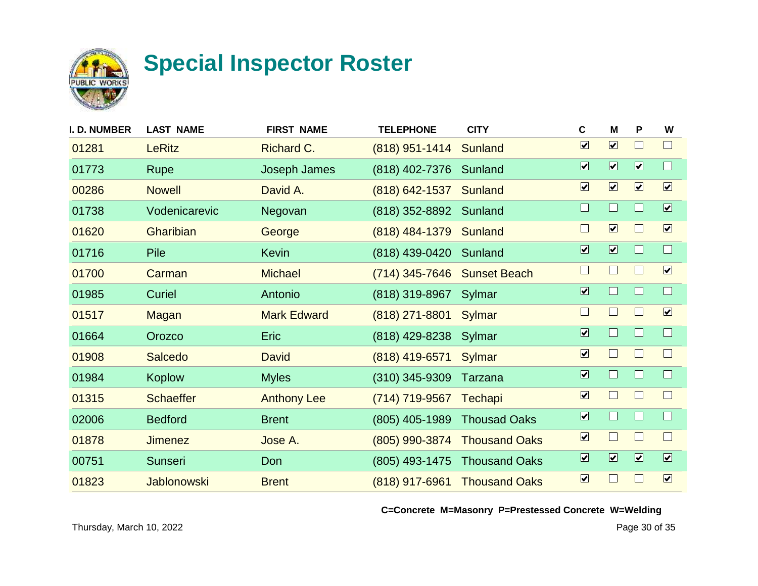

| <b>I. D. NUMBER</b> | <b>LAST NAME</b>   | <b>FIRST NAME</b>  | <b>TELEPHONE</b> | <b>CITY</b>          | C                            | M                            | P                    | W                       |
|---------------------|--------------------|--------------------|------------------|----------------------|------------------------------|------------------------------|----------------------|-------------------------|
| 01281               | <b>LeRitz</b>      | Richard C.         | $(818)$ 951-1414 | <b>Sunland</b>       | $\overline{\mathbf{v}}$      | $\boxed{\mathbf{v}}$         |                      | $\Box$                  |
| 01773               | <b>Rupe</b>        | Joseph James       | (818) 402-7376   | Sunland              | $\boxed{\blacktriangledown}$ | $\boxed{\blacktriangledown}$ | $\boxed{\mathbf{v}}$ | $\Box$                  |
| 00286               | <b>Nowell</b>      | David A.           | (818) 642-1537   | Sunland              | $\boxed{\blacktriangledown}$ | $\boxed{\mathbf{v}}$         | $\boxed{\mathbf{v}}$ | $\boxed{\checkmark}$    |
| 01738               | Vodenicarevic      | Negovan            | (818) 352-8892   | Sunland              | $\Box$                       | $\Box$                       |                      | $\boxed{\mathbf{v}}$    |
| 01620               | Gharibian          | George             | (818) 484-1379   | Sunland              | $\Box$                       | $\boxed{\blacktriangledown}$ |                      | $\boxed{\mathbf{v}}$    |
| 01716               | <b>Pile</b>        | <b>Kevin</b>       | (818) 439-0420   | Sunland              | $\overline{\mathbf{v}}$      | $\overline{\mathbf{v}}$      |                      | $\Box$                  |
| 01700               | Carman             | <b>Michael</b>     | $(714)$ 345-7646 | <b>Sunset Beach</b>  | $\Box$                       | $\Box$                       |                      | $\boxed{\checkmark}$    |
| 01985               | Curiel             | Antonio            | (818) 319-8967   | Sylmar               | $\overline{\mathbf{v}}$      | $\Box$                       |                      | $\Box$                  |
| 01517               | <b>Magan</b>       | <b>Mark Edward</b> | $(818)$ 271-8801 | Sylmar               | $\Box$                       | $\vert \ \ \vert$            |                      | $\boxed{\checkmark}$    |
| 01664               | Orozco             | <b>Eric</b>        | (818) 429-8238   | Sylmar               | $\overline{\mathbf{v}}$      | $\Box$                       | H                    | $\Box$                  |
| 01908               | <b>Salcedo</b>     | <b>David</b>       | (818) 419-6571   | <b>Sylmar</b>        | $\boxed{\blacktriangledown}$ | $\vert \ \ \vert$            |                      | $\Box$                  |
| 01984               | <b>Koplow</b>      | <b>Myles</b>       | $(310)$ 345-9309 | Tarzana              | $\overline{\mathbf{v}}$      | $\Box$                       |                      | $\Box$                  |
| 01315               | <b>Schaeffer</b>   | <b>Anthony Lee</b> | (714) 719-9567   | <b>Techapi</b>       | $\overline{\mathbf{v}}$      | $\Box$                       |                      | $\Box$                  |
| 02006               | <b>Bedford</b>     | <b>Brent</b>       | (805) 405-1989   | <b>Thousad Oaks</b>  | $\overline{\mathbf{v}}$      | $\Box$                       |                      | $\Box$                  |
| 01878               | <b>Jimenez</b>     | Jose A.            | (805) 990-3874   | <b>Thousand Oaks</b> | $\overline{\mathbf{v}}$      | $\Box$                       |                      | $\Box$                  |
| 00751               | <b>Sunseri</b>     | Don                | (805) 493-1475   | <b>Thousand Oaks</b> | $\overline{\mathbf{v}}$      | $\overline{\mathbf{v}}$      | $\boxed{\mathbf{v}}$ | $\overline{\mathbf{v}}$ |
| 01823               | <b>Jablonowski</b> | <b>Brent</b>       | (818) 917-6961   | <b>Thousand Oaks</b> | $\overline{\mathbf{v}}$      | J.                           |                      | $\boxed{\mathbf{v}}$    |
|                     |                    |                    |                  |                      |                              |                              |                      |                         |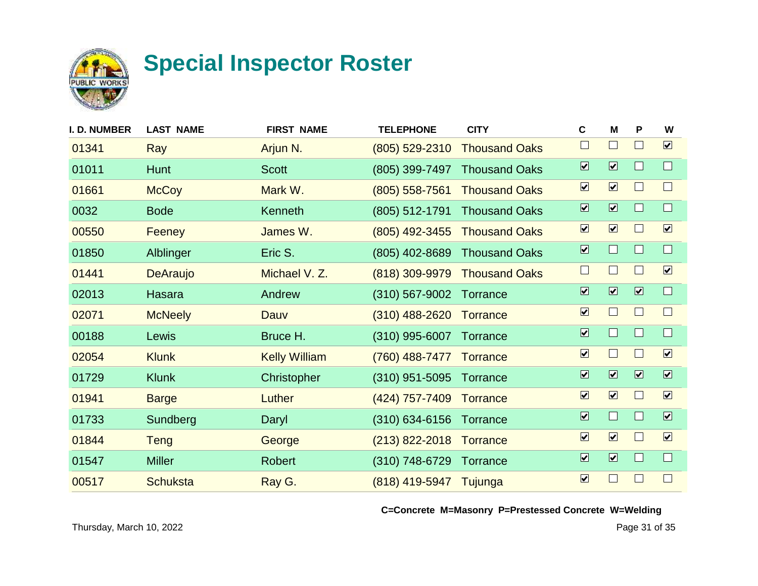

| I. D. NUMBER | <b>LAST NAME</b> | <b>FIRST NAME</b>    | <b>TELEPHONE</b>   | <b>CITY</b>          | C                            | M                            | P                       | W                       |
|--------------|------------------|----------------------|--------------------|----------------------|------------------------------|------------------------------|-------------------------|-------------------------|
| 01341        | Ray              | Arjun N.             | (805) 529-2310     | <b>Thousand Oaks</b> | $\Box$                       | $\mathcal{L}_{\mathcal{A}}$  |                         | $\boxed{\mathbf{v}}$    |
| 01011        | <b>Hunt</b>      | <b>Scott</b>         | (805) 399-7497     | <b>Thousand Oaks</b> | $\boxed{\blacktriangledown}$ | $\boxed{\blacktriangledown}$ |                         | $\Box$                  |
| 01661        | <b>McCoy</b>     | Mark W.              | $(805)$ 558-7561   | <b>Thousand Oaks</b> | $\boxed{\checkmark}$         | $\boxed{\mathbf{v}}$         |                         | $\Box$                  |
| 0032         | <b>Bode</b>      | Kenneth              | $(805)$ 512-1791   | <b>Thousand Oaks</b> | $\overline{\mathbf{v}}$      | $\overline{\mathbf{v}}$      |                         | $\Box$                  |
| 00550        | <b>Feeney</b>    | James W.             | (805) 492-3455     | <b>Thousand Oaks</b> | $\boxed{\checkmark}$         | $\boxed{\mathbf{v}}$         |                         | $\boxed{\checkmark}$    |
| 01850        | Alblinger        | Eric S.              | (805) 402-8689     | <b>Thousand Oaks</b> | $\overline{\mathbf{v}}$      | $\Box$                       |                         | $\Box$                  |
| 01441        | <b>DeAraujo</b>  | Michael V. Z.        | (818) 309-9979     | <b>Thousand Oaks</b> | $\Box$                       | $\Box$                       |                         | $\boxed{\mathbf{v}}$    |
| 02013        | Hasara           | Andrew               | $(310)$ 567-9002   | Torrance             | $\overline{\mathbf{v}}$      | $\overline{\mathbf{v}}$      | $\overline{\mathbf{v}}$ | $\Box$                  |
| 02071        | <b>McNeely</b>   | Dauv                 | $(310)$ 488-2620   | <b>Torrance</b>      | $\overline{\mathbf{v}}$      | $\Box$                       |                         | $\Box$                  |
| 00188        | Lewis            | Bruce H.             | $(310)$ 995-6007   | Torrance             | $\overline{\mathbf{v}}$      | $\Box$                       | H.                      | $\Box$                  |
| 02054        | <b>Klunk</b>     | <b>Kelly William</b> | (760) 488-7477     | <b>Torrance</b>      | $\boxed{\checkmark}$         | $\Box$                       |                         | $\boxed{\mathbf{v}}$    |
| 01729        | <b>Klunk</b>     | Christopher          | $(310)$ 951-5095   | Torrance             | $\overline{\mathbf{v}}$      | $\overline{\mathbf{v}}$      | $\overline{\mathbf{v}}$ | $\overline{\mathbf{v}}$ |
| 01941        | <b>Barge</b>     | Luther               | (424) 757-7409     | <b>Torrance</b>      | $\overline{\mathbf{v}}$      | $\boxed{\mathbf{v}}$         |                         | $\boxed{\mathbf{v}}$    |
| 01733        | Sundberg         | Daryl                | $(310) 634 - 6156$ | Torrance             | $\overline{\mathbf{v}}$      | $\Box$                       |                         | $\overline{\mathbf{v}}$ |
| 01844        | <b>Teng</b>      | George               | $(213)$ 822-2018   | <b>Torrance</b>      | $\overline{\mathbf{v}}$      | $\boxed{\mathbf{v}}$         |                         | $\boxed{\mathbf{v}}$    |
| 01547        | <b>Miller</b>    | <b>Robert</b>        | $(310)$ 748-6729   | Torrance             | $\overline{\mathbf{v}}$      | $\boxed{\blacktriangledown}$ |                         | $\Box$                  |
| 00517        | <b>Schuksta</b>  | Ray G.               | (818) 419-5947     | Tujunga              | $\overline{\mathbf{v}}$      | $\Box$                       |                         | $\Box$                  |
|              |                  |                      |                    |                      |                              |                              |                         |                         |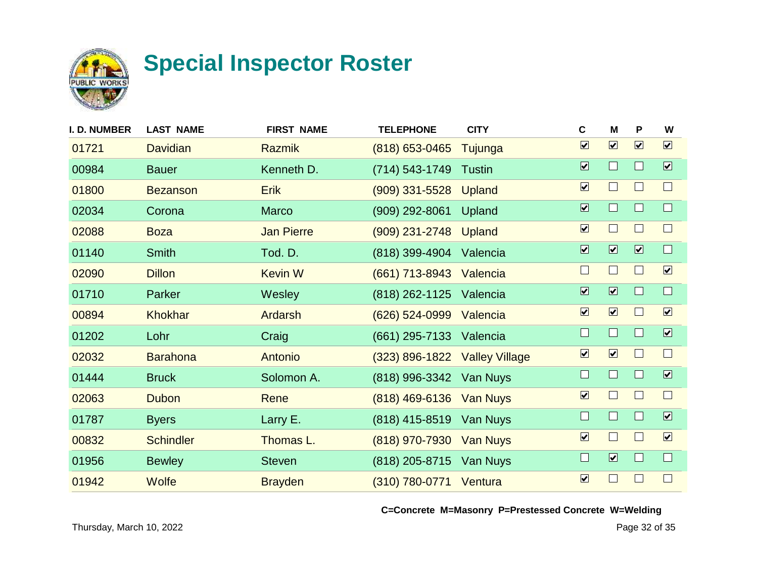

| <b>I. D. NUMBER</b> | <b>LAST NAME</b> | <b>FIRST NAME</b> | <b>TELEPHONE</b>        | <b>CITY</b>           | $\mathbf c$                  | M                       | P                       | W                            |
|---------------------|------------------|-------------------|-------------------------|-----------------------|------------------------------|-------------------------|-------------------------|------------------------------|
| 01721               | <b>Davidian</b>  | <b>Razmik</b>     | $(818)$ 653-0465        | Tujunga               | $\overline{\mathbf{v}}$      | $\boxed{\mathbf{v}}$    | $\boxed{\mathbf{v}}$    | $\boxed{\mathbf{v}}$         |
| 00984               | <b>Bauer</b>     | Kenneth D.        | (714) 543-1749          | <b>Tustin</b>         | $\overline{\mathbf{v}}$      | $\Box$                  |                         | $\boxed{\blacktriangledown}$ |
| 01800               | <b>Bezanson</b>  | <b>Erik</b>       | (909) 331-5528          | Upland                | $\boxed{\checkmark}$         | $\Box$                  |                         | $\Box$                       |
| 02034               | Corona           | <b>Marco</b>      | (909) 292-8061          | Upland                | $\overline{\mathbf{v}}$      | H                       |                         | $\Box$                       |
| 02088               | <b>Boza</b>      | <b>Jan Pierre</b> | $(909)$ 231-2748        | <b>Upland</b>         | $\boxed{\blacktriangledown}$ | $\Box$                  |                         | $\Box$                       |
| 01140               | <b>Smith</b>     | Tod. D.           | (818) 399-4904          | Valencia              | $\overline{\mathbf{v}}$      | $\overline{\mathbf{v}}$ | $\overline{\mathbf{v}}$ | $\Box$                       |
| 02090               | <b>Dillon</b>    | <b>Kevin W</b>    | (661) 713-8943          | Valencia              | $\Box$                       | $\Box$                  |                         | $\boxed{\checkmark}$         |
| 01710               | Parker           | Wesley            | (818) 262-1125          | Valencia              | $\overline{\mathbf{v}}$      | $\overline{\mathbf{v}}$ |                         | $\Box$                       |
| 00894               | <b>Khokhar</b>   | Ardarsh           | (626) 524-0999          | Valencia              | $\overline{\mathbf{v}}$      | $\boxed{\mathbf{v}}$    |                         | $\boxed{\checkmark}$         |
| 01202               | Lohr             | Craig             | (661) 295-7133          | Valencia              | $\Box$                       | $\Box$                  | H                       | $\boxed{\blacktriangledown}$ |
| 02032               | <b>Barahona</b>  | Antonio           | $(323) 896 - 1822$      | <b>Valley Village</b> | $\boxed{\mathbf{v}}$         | $\boxed{\mathbf{v}}$    |                         | $\Box$                       |
| 01444               | <b>Bruck</b>     | Solomon A.        | (818) 996-3342          | Van Nuys              | $\Box$                       | $\Box$                  |                         | $\overline{\mathbf{v}}$      |
| 02063               | <b>Dubon</b>     | Rene              | (818) 469-6136 Van Nuys |                       | $\overline{\mathbf{v}}$      | $\Box$                  |                         | $\Box$                       |
| 01787               | <b>Byers</b>     | Larry E.          | (818) 415-8519 Van Nuys |                       | $\Box$                       | $\mathbf{I}$            |                         | $\boxed{\mathbf{v}}$         |
| 00832               | <b>Schindler</b> | Thomas L.         | (818) 970-7930          | <b>Van Nuys</b>       | $\boxed{\blacktriangledown}$ | $\Box$                  |                         | $\boxed{\mathbf{v}}$         |
| 01956               | <b>Bewley</b>    | <b>Steven</b>     | (818) 205-8715          | Van Nuys              | $\Box$                       | $\overline{\mathbf{v}}$ |                         | $\Box$                       |
| 01942               | <b>Wolfe</b>     | <b>Brayden</b>    | (310) 780-0771 Ventura  |                       | $\overline{\mathbf{v}}$      | $\Box$                  |                         | $\Box$                       |
|                     |                  |                   |                         |                       |                              |                         |                         |                              |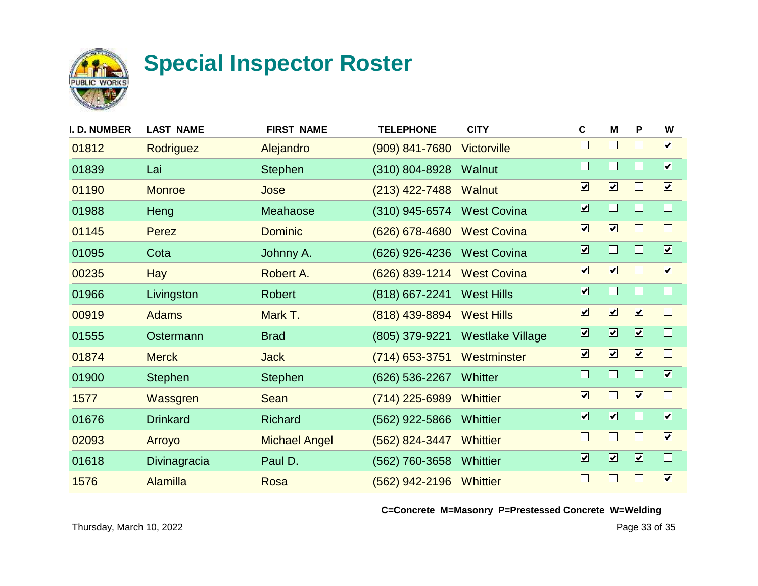

| I. D. NUMBER | <b>LAST NAME</b> | <b>FIRST NAME</b>    | <b>TELEPHONE</b>   | <b>CITY</b>             | $\mathbf c$                  | M                            | P                            | W                       |
|--------------|------------------|----------------------|--------------------|-------------------------|------------------------------|------------------------------|------------------------------|-------------------------|
| 01812        | Rodriguez        | Alejandro            | $(909) 841 - 7680$ | Victorville             | $\Box$                       | $\Box$                       | $\Box$                       | $\boxed{\mathbf{v}}$    |
| 01839        | Lai              | <b>Stephen</b>       | $(310) 804 - 8928$ | Walnut                  | L                            | $\Box$                       | H                            | $\overline{\mathbf{v}}$ |
| 01190        | <b>Monroe</b>    | Jose                 | $(213)$ 422-7488   | <b>Walnut</b>           | $\boxed{\blacktriangledown}$ | $\boxed{\mathbf{v}}$         | $\mathcal{L}$                | $\boxed{\checkmark}$    |
| 01988        | Heng             | Meahaose             | (310) 945-6574     | <b>West Covina</b>      | $\overline{\mathbf{v}}$      | $\Box$                       |                              | $\Box$                  |
| 01145        | Perez            | <b>Dominic</b>       | $(626)$ 678-4680   | <b>West Covina</b>      | $\boxed{\blacktriangledown}$ | $\boxed{\mathbf{v}}$         | ш                            | $\Box$                  |
| 01095        | Cota             | Johnny A.            | (626) 926-4236     | <b>West Covina</b>      | $\overline{\mathbf{v}}$      | $\Box$                       |                              | $\overline{\mathbf{v}}$ |
| 00235        | <b>Hay</b>       | Robert A.            | (626) 839-1214     | <b>West Covina</b>      | $\boxed{\blacktriangledown}$ | $\boxed{\mathbf{v}}$         | $\blacksquare$               | $\boxed{\checkmark}$    |
| 01966        | Livingston       | <b>Robert</b>        | (818) 667-2241     | <b>West Hills</b>       | $\overline{\mathbf{v}}$      | $\Box$                       |                              | $\Box$                  |
| 00919        | <b>Adams</b>     | Mark T.              | (818) 439-8894     | <b>West Hills</b>       | $\boxed{\mathbf{v}}$         | $\boxed{\mathbf{v}}$         | $\boxed{\mathbf{v}}$         | $\Box$                  |
| 01555        | Ostermann        | <b>Brad</b>          | (805) 379-9221     | <b>Westlake Village</b> | $\overline{\mathbf{v}}$      | $\boxed{\blacksquare}$       | $\overline{\mathbf{v}}$      | $\Box$                  |
| 01874        | <b>Merck</b>     | <b>Jack</b>          | $(714)$ 653-3751   | Westminster             | $\boxed{\blacktriangledown}$ | $\boxed{\mathbf{v}}$         | $\boxed{\mathbf{v}}$         | $\Box$                  |
| 01900        | <b>Stephen</b>   | <b>Stephen</b>       | (626) 536-2267     | Whitter                 | $\Box$                       | $\Box$                       |                              | $\overline{\mathbf{v}}$ |
| 1577         | Wassgren         | Sean                 | (714) 225-6989     | <b>Whittier</b>         | $\boxed{\blacktriangledown}$ | $\Box$                       | $\boxed{\mathbf{v}}$         | $\Box$                  |
| 01676        | <b>Drinkard</b>  | <b>Richard</b>       | (562) 922-5866     | <b>Whittier</b>         | $\overline{\mathbf{v}}$      | $\boxed{\blacktriangledown}$ |                              | $\boxed{\checkmark}$    |
| 02093        | Arroyo           | <b>Michael Angel</b> | (562) 824-3447     | <b>Whittier</b>         | $\Box$                       | $\Box$                       |                              | $\boxed{\checkmark}$    |
| 01618        | Divinagracia     | Paul D.              | (562) 760-3658     | Whittier                | $\overline{\mathbf{v}}$      | $\boxed{\blacktriangledown}$ | $\boxed{\blacktriangledown}$ | $\Box$                  |
| 1576         | <b>Alamilla</b>  | Rosa                 | (562) 942-2196     | Whittier                | $\Box$                       | $\Box$                       |                              | $\boxed{\checkmark}$    |
|              |                  |                      |                    |                         |                              |                              |                              |                         |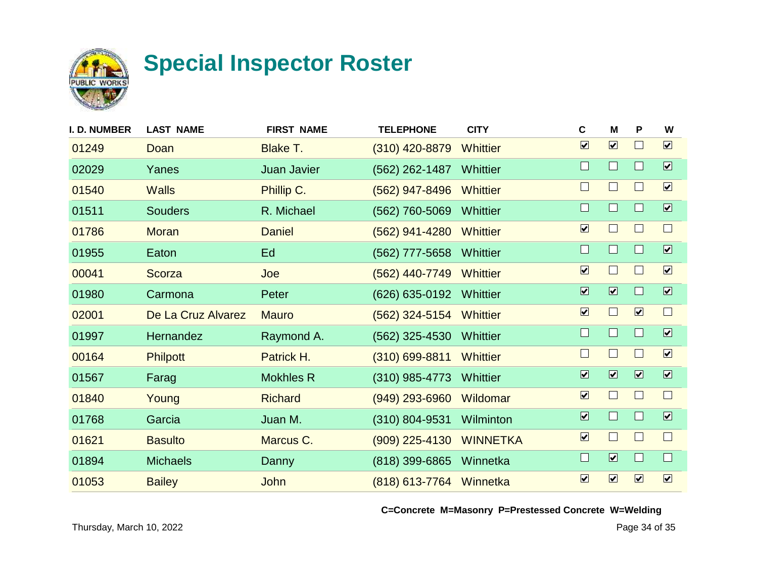

| I. D. NUMBER | <b>LAST NAME</b>   | <b>FIRST NAME</b>  | <b>TELEPHONE</b>        | <b>CITY</b>     | C                       | M                            | P                       | W                            |
|--------------|--------------------|--------------------|-------------------------|-----------------|-------------------------|------------------------------|-------------------------|------------------------------|
| 01249        | Doan               | Blake T.           | $(310)$ 420-8879        | <b>Whittier</b> | $\overline{\mathbf{v}}$ | $\boxed{\mathbf{v}}$         | $\mathbb{R}^n$          | $\boxed{\mathbf{v}}$         |
| 02029        | Yanes              | <b>Juan Javier</b> | (562) 262-1487          | Whittier        | $\Box$                  | $\Box$                       |                         | $\boxed{\blacktriangledown}$ |
| 01540        | <b>Walls</b>       | Phillip C.         | $(562)$ 947-8496        | <b>Whittier</b> | $\Box$                  | $\Box$                       | I.                      | $\boxed{\mathbf{v}}$         |
| 01511        | <b>Souders</b>     | R. Michael         | (562) 760-5069          | Whittier        | $\Box$                  | $\Box$                       |                         | $\overline{\mathbf{v}}$      |
| 01786        | <b>Moran</b>       | <b>Daniel</b>      | $(562)$ 941-4280        | <b>Whittier</b> | $\overline{\mathbf{v}}$ | $\Box$                       | $\mathbf{I}$            | $\Box$                       |
| 01955        | Eaton              | Ed                 | (562) 777-5658          | Whittier        | $\Box$                  | $\Box$                       |                         | $\overline{\mathbf{v}}$      |
| 00041        | <b>Scorza</b>      | Joe                | (562) 440-7749          | <b>Whittier</b> | $\blacktriangledown$    | $\Box$                       |                         | $\boxed{\checkmark}$         |
| 01980        | Carmona            | Peter              | (626) 635-0192          | Whittier        | $\overline{\mathbf{v}}$ | $\overline{\mathbf{v}}$      |                         | $\boxed{\blacktriangledown}$ |
| 02001        | De La Cruz Alvarez | <b>Mauro</b>       | $(562)$ 324-5154        | Whittier        | $\blacktriangledown$    | $\Box$                       | $\boxed{\mathbf{v}}$    | $\Box$                       |
| 01997        | Hernandez          | Raymond A.         | $(562)$ 325-4530        | <b>Whittier</b> | $\Box$                  | $\Box$                       | ш                       | $\boxed{\blacktriangledown}$ |
| 00164        | <b>Philpott</b>    | Patrick H.         | $(310)$ 699-8811        | <b>Whittier</b> | $\mathbf{L}$            | $\blacksquare$               | $\mathbf{I}$            | $\boxed{\mathbf{v}}$         |
| 01567        | Farag              | <b>Mokhles R</b>   | $(310)$ 985-4773        | <b>Whittier</b> | $\overline{\mathbf{v}}$ | $\boxed{\blacktriangledown}$ | $\overline{\mathbf{v}}$ | $\boxed{\blacktriangledown}$ |
| 01840        | Young              | <b>Richard</b>     | $(949)$ 293-6960        | Wildomar        | $\overline{\mathbf{v}}$ | $\Box$                       |                         | $\Box$                       |
| 01768        | Garcia             | Juan M.            | (310) 804-9531          | Wilminton       | $\overline{\mathbf{v}}$ | $\Box$                       |                         | $\boxed{\blacktriangledown}$ |
| 01621        | <b>Basulto</b>     | Marcus C.          | $(909)$ 225-4130        | <b>WINNETKA</b> | $\boxed{\checkmark}$    | $\Box$                       |                         | $\Box$                       |
| 01894        | <b>Michaels</b>    | Danny              | (818) 399-6865          | Winnetka        | $\Box$                  | $\boxed{\blacktriangledown}$ | Ш                       | $\Box$                       |
| 01053        | <b>Bailey</b>      | <b>John</b>        | (818) 613-7764 Winnetka |                 | $\overline{\mathbf{v}}$ | $\boxed{\mathbf{v}}$         | $\boxed{\mathbf{v}}$    | $\boxed{\mathbf{v}}$         |
|              |                    |                    |                         |                 |                         |                              |                         |                              |